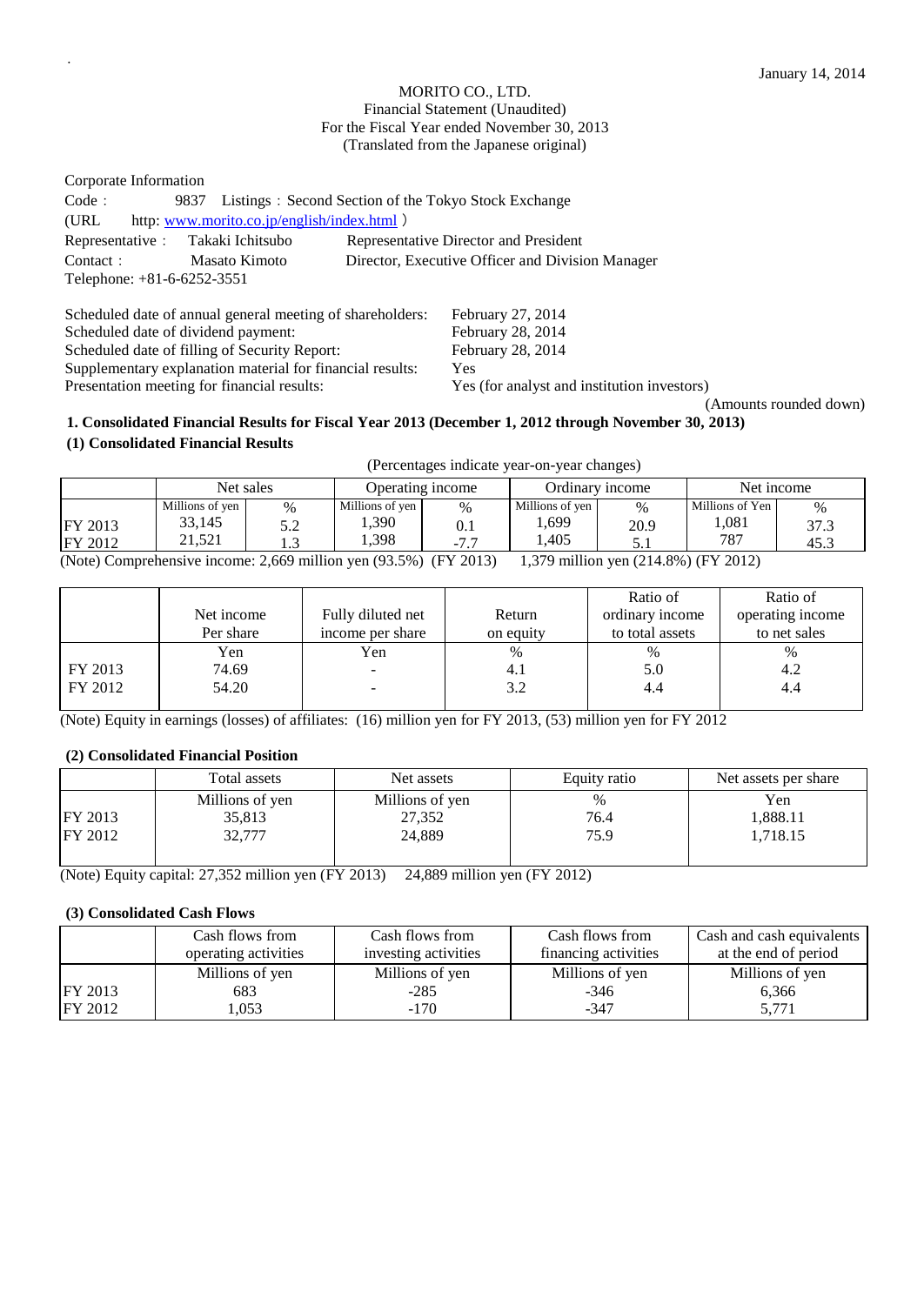#### MORITO CO., LTD. Financial Statement (Unaudited) For the Fiscal Year ended November 30, 2013 (Translated from the Japanese original)

Corporate Information Code: 9837 Listings: Second Section of the Tokyo Stock Exchange (URL http: [www.morito.co.jp/english/index.html](http://www.morito.co.jp/english/index.html) ) Representative: Takaki Ichitsubo Representative Director and President Contact: Masato Kimoto Director, Executive Officer and Division Manager Telephone: +81-6-6252-3551

Scheduled date of annual general meeting of shareholders: February 27, 2014<br>Scheduled date of dividend payment: February 28, 2014 Scheduled date of dividend payment: Scheduled date of filling of Security Report: February 28, 2014 Supplementary explanation material for financial results: Yes Presentation meeting for financial results: Yes (for analyst and institution investors)

(Amounts rounded down)

## **1. Consolidated Financial Results for Fiscal Year 2013 (December 1, 2012 through November 30, 2013) (1) Consolidated Financial Results**

|                                                                                                          | (Percentages indicate year-on-year changes) |                      |                          |             |                          |              |                          |              |  |
|----------------------------------------------------------------------------------------------------------|---------------------------------------------|----------------------|--------------------------|-------------|--------------------------|--------------|--------------------------|--------------|--|
|                                                                                                          | Net sales                                   |                      | Operating income         |             | Ordinary income          |              | Net income               |              |  |
| <b>FY 2013</b>                                                                                           | Millions of yen<br>33,145                   | $\frac{0}{0}$<br>5.2 | Millions of yen<br>1,390 | $\%$<br>0.1 | Millions of yen<br>1,699 | $\%$<br>20.9 | Millions of Yen<br>1,081 | $\%$<br>37.3 |  |
| <b>FY 2012</b>                                                                                           | 21.521                                      |                      | 1.398                    | $-7.7$      | 1.405                    | 5.1          | 787                      | 45.3         |  |
| (Note) Comprehensive income: 2,669 million yen (93.5%) (FY 2013)<br>1,379 million yen (214.8%) (FY 2012) |                                             |                      |                          |             |                          |              |                          |              |  |

|         |            |                   |           | Ratio of        | Ratio of         |
|---------|------------|-------------------|-----------|-----------------|------------------|
|         | Net income | Fully diluted net | Return    | ordinary income | operating income |
|         | Per share  | income per share  | on equity | to total assets | to net sales     |
|         | Yen        | Yen               | %         | $\%$            | $\%$             |
| FY 2013 | 74.69      |                   | 4.1       | 5.0             | 4.2              |
| FY 2012 | 54.20      |                   | 3.2       | 4.4             | 4.4              |
|         |            |                   |           |                 |                  |

(Note) Equity in earnings (losses) of affiliates: (16) million yen for FY 2013, (53) million yen for FY 2012

## **(2) Consolidated Financial Position**

●

|         | Total assets    | Net assets      | Equity ratio | Net assets per share |
|---------|-----------------|-----------------|--------------|----------------------|
|         | Millions of yen | Millions of yen | $\%$         | Yen                  |
| FY 2013 | 35,813          | 27,352          | 76.4         | 1,888.11             |
| FY 2012 | 32,777          | 24,889          | 75.9         | 1,718.15             |
|         |                 |                 |              |                      |

(Note) Equity capital: 27,352 million yen (FY 2013) 24,889 million yen (FY 2012)

## **(3) Consolidated Cash Flows**

|         | Cash flows from      | Cash flows from      | Cash flows from      | Cash and cash equivalents |
|---------|----------------------|----------------------|----------------------|---------------------------|
|         | operating activities | investing activities | financing activities | at the end of period      |
|         | Millions of yen      | Millions of yen      | Millions of yen      | Millions of yen           |
| FY 2013 | 683                  | $-285$               | $-346$               | 6.366                     |
| FY 2012 | 1.053                | $-170$               | $-347$               | 5,771                     |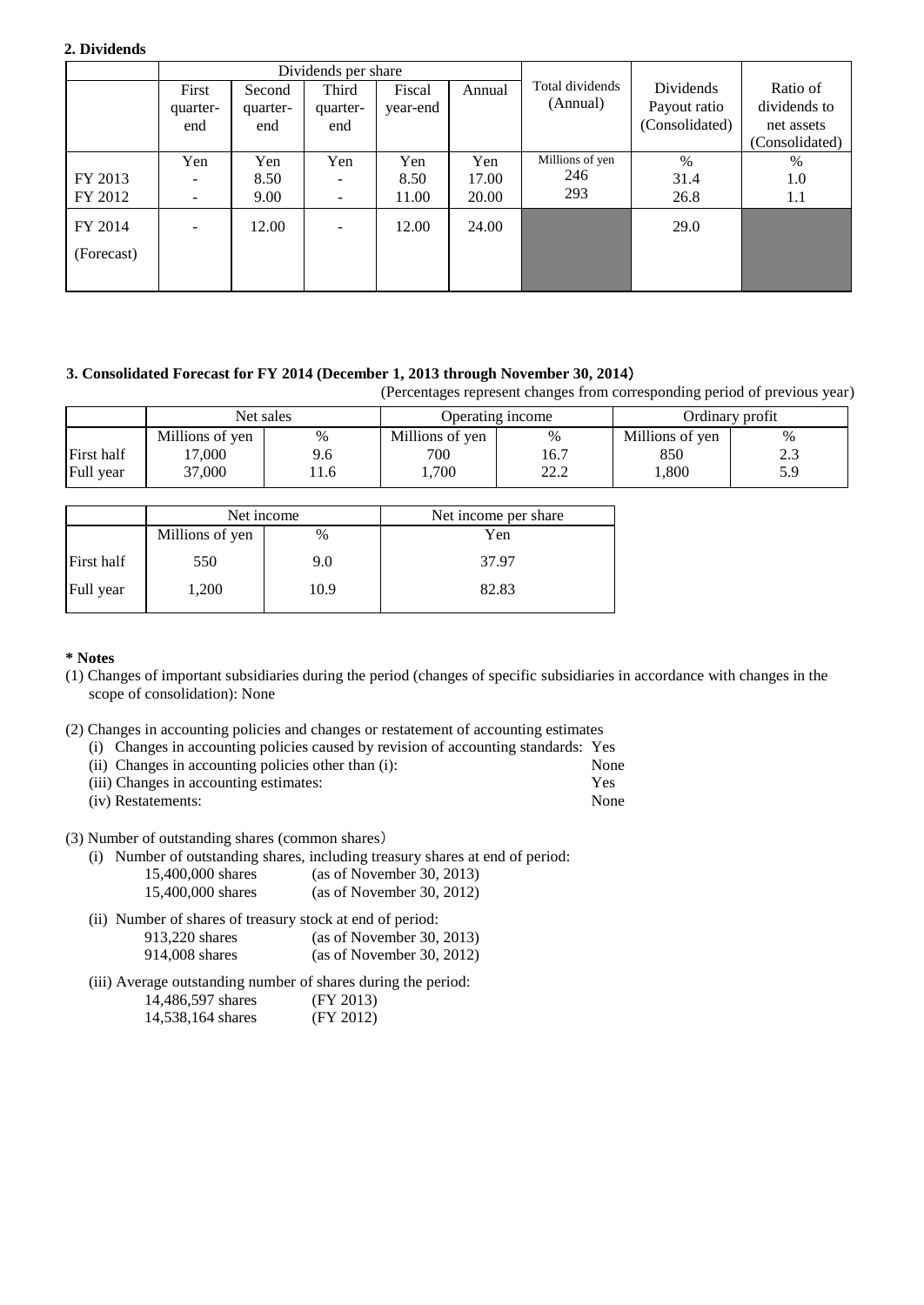#### **2. Dividends**

|                       |                                                      | Dividends per share       |                                      |                      |                       |                               |                                             |                                                          |
|-----------------------|------------------------------------------------------|---------------------------|--------------------------------------|----------------------|-----------------------|-------------------------------|---------------------------------------------|----------------------------------------------------------|
|                       | First<br>quarter-<br>end                             | Second<br>quarter-<br>end | Third<br>quarter-<br>end             | Fiscal<br>year-end   | Annual                | Total dividends<br>(Annual)   | Dividends<br>Payout ratio<br>(Consolidated) | Ratio of<br>dividends to<br>net assets<br>(Consolidated) |
| FY 2013<br>FY 2012    | Yen<br>$\qquad \qquad -$<br>$\overline{\phantom{m}}$ | Yen<br>8.50<br>9.00       | Yen<br>-<br>$\overline{\phantom{a}}$ | Yen<br>8.50<br>11.00 | Yen<br>17.00<br>20.00 | Millions of yen<br>246<br>293 | $\%$<br>31.4<br>26.8                        | $\%$<br>1.0<br>$1.1\,$                                   |
| FY 2014<br>(Forecast) | $\overline{\phantom{a}}$                             | 12.00                     | -                                    | 12.00                | 24.00                 |                               | 29.0                                        |                                                          |

#### **3. Consolidated Forecast for FY 2014 (December 1, 2013 through November 30, 2014**)

(Percentages represent changes from corresponding period of previous year)

|            | Net sales       |      | Operating income |              | Ordinary profit |                 |
|------------|-----------------|------|------------------|--------------|-----------------|-----------------|
|            | Millions of yen | %    | Millions of yen  | %            | Millions of yen | $\%$            |
| First half | 7,000           | 9.6  | 700              | 16.7         | 850             | $\sim$<br>ر . ب |
| Full year  | 37,000          | .1.6 | ,700             | າາ າ<br>44.4 | 0.800           | 5.9             |

|            |                         | Net income | Net income per share |  |  |
|------------|-------------------------|------------|----------------------|--|--|
|            | Millions of yen<br>$\%$ |            | Yen                  |  |  |
| First half | 550                     | 9.0        | 37.97                |  |  |
| Full year  | 1,200                   | 10.9       | 82.83                |  |  |

#### **\* Notes**

- (1) Changes of important subsidiaries during the period (changes of specific subsidiaries in accordance with changes in the scope of consolidation): None
- (2) Changes in accounting policies and changes or restatement of accounting estimates
	- (i) Changes in accounting policies caused by revision of accounting standards: Yes

| (ii) Changes in accounting policies other than (i): | None |
|-----------------------------------------------------|------|
| (iii) Changes in accounting estimates:              | Yes  |
| (iv) Restatements:                                  | None |

(3) Number of outstanding shares (common shares)

- (i) Number of outstanding shares, including treasury shares at end of period: 15,400,000 shares (as of November 30, 2013)
	- 15,400,000 shares (as of November 30, 2012)

| (ii) Number of shares of treasury stock at end of period: |                           |
|-----------------------------------------------------------|---------------------------|
| 913.220 shares                                            | (as of November 30, 2013) |
| 914,008 shares                                            | (as of November 30, 2012) |

(iii) Average outstanding number of shares during the period: 14,486,597 shares (FY 2013) 14,538,164 shares (FY 2012)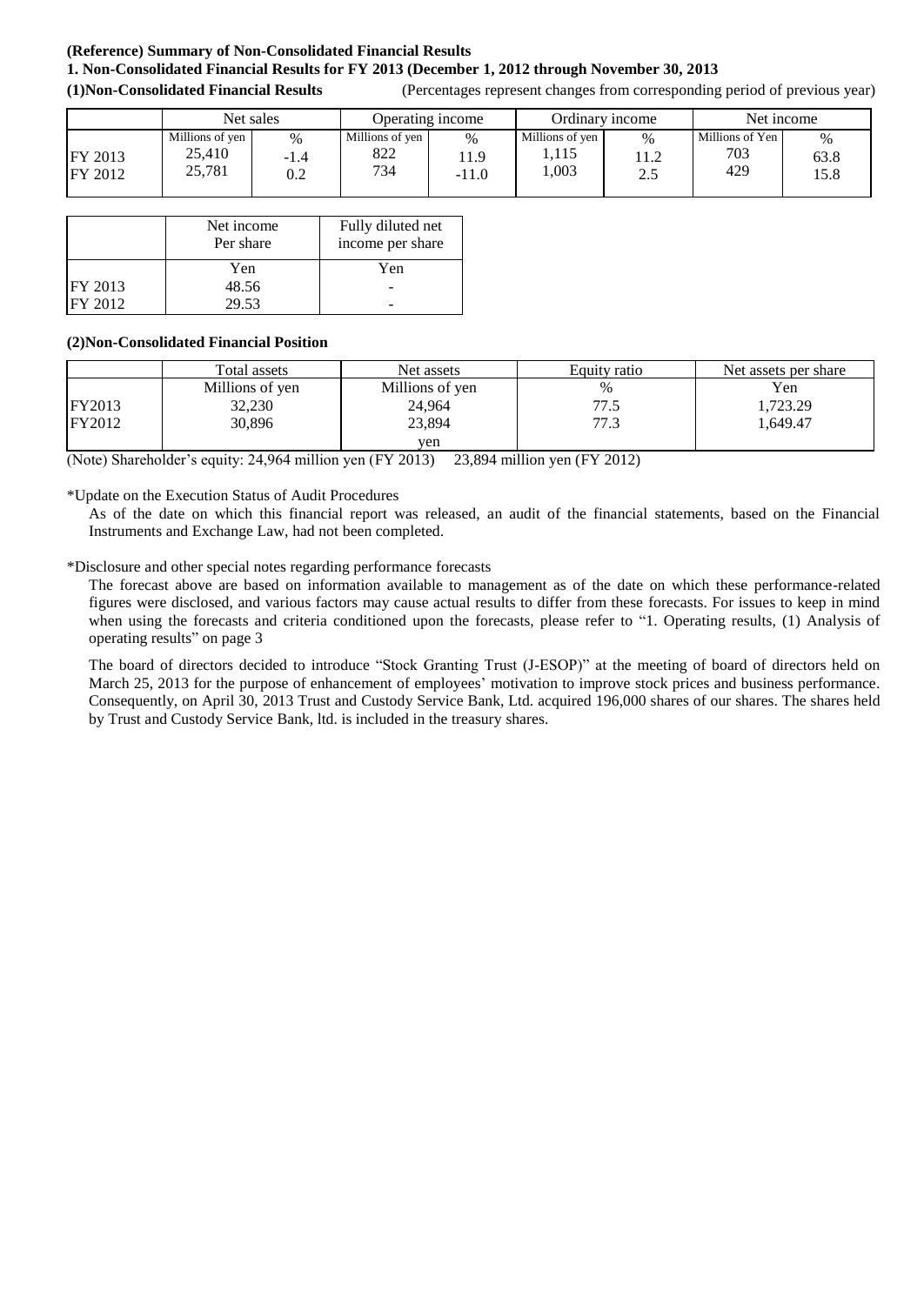## **(Reference) Summary of Non-Consolidated Financial Results 1. Non-Consolidated Financial Results for FY 2013 (December 1, 2012 through November 30, 2013 (1)Non-Consolidated Financial Results** (Percentages represent changes from corresponding period of previous year)

Net sales Operating income Ordinary income Net income FY 2013 FY 2012 Millions of yen 25,410 25,781 % -1.4 0.2 Millions of yen 822 734  $\%$ 11.9 -11.0 Millions of yen 1,115 1,003 % 11.2 2.5 Millions of Yen 703 429  $\frac{0}{0}$ 63.8 15.8

|         | Net income<br>Per share | Fully diluted net<br>income per share |
|---------|-------------------------|---------------------------------------|
|         | Yen                     | Yen                                   |
| FY 2013 | 48.56                   |                                       |
| FY 2012 | 29.53                   |                                       |

#### **(2)Non-Consolidated Financial Position**

|               | Total assets    | Net assets      | Equity ratio | Net assets per share |
|---------------|-----------------|-----------------|--------------|----------------------|
|               | Millions of yen | Millions of yen | $\%$         | Yen                  |
| <b>FY2013</b> | 32,230          | 24,964          | 77.5         | ,723.29              |
| <b>FY2012</b> | 30,896          | 23,894          | 77.3         | 1.649.47             |
|               |                 | ven             |              |                      |

(Note) Shareholder's equity: 24,964 million yen (FY 2013) 23,894 million yen (FY 2012)

\*Update on the Execution Status of Audit Procedures

As of the date on which this financial report was released, an audit of the financial statements, based on the Financial Instruments and Exchange Law, had not been completed.

\*Disclosure and other special notes regarding performance forecasts

The forecast above are based on information available to management as of the date on which these performance-related figures were disclosed, and various factors may cause actual results to differ from these forecasts. For issues to keep in mind when using the forecasts and criteria conditioned upon the forecasts, please refer to "1. Operating results, (1) Analysis of operating results" on page 3

The board of directors decided to introduce "Stock Granting Trust (J-ESOP)" at the meeting of board of directors held on March 25, 2013 for the purpose of enhancement of employees' motivation to improve stock prices and business performance. Consequently, on April 30, 2013 Trust and Custody Service Bank, Ltd. acquired 196,000 shares of our shares. The shares held by Trust and Custody Service Bank, ltd. is included in the treasury shares.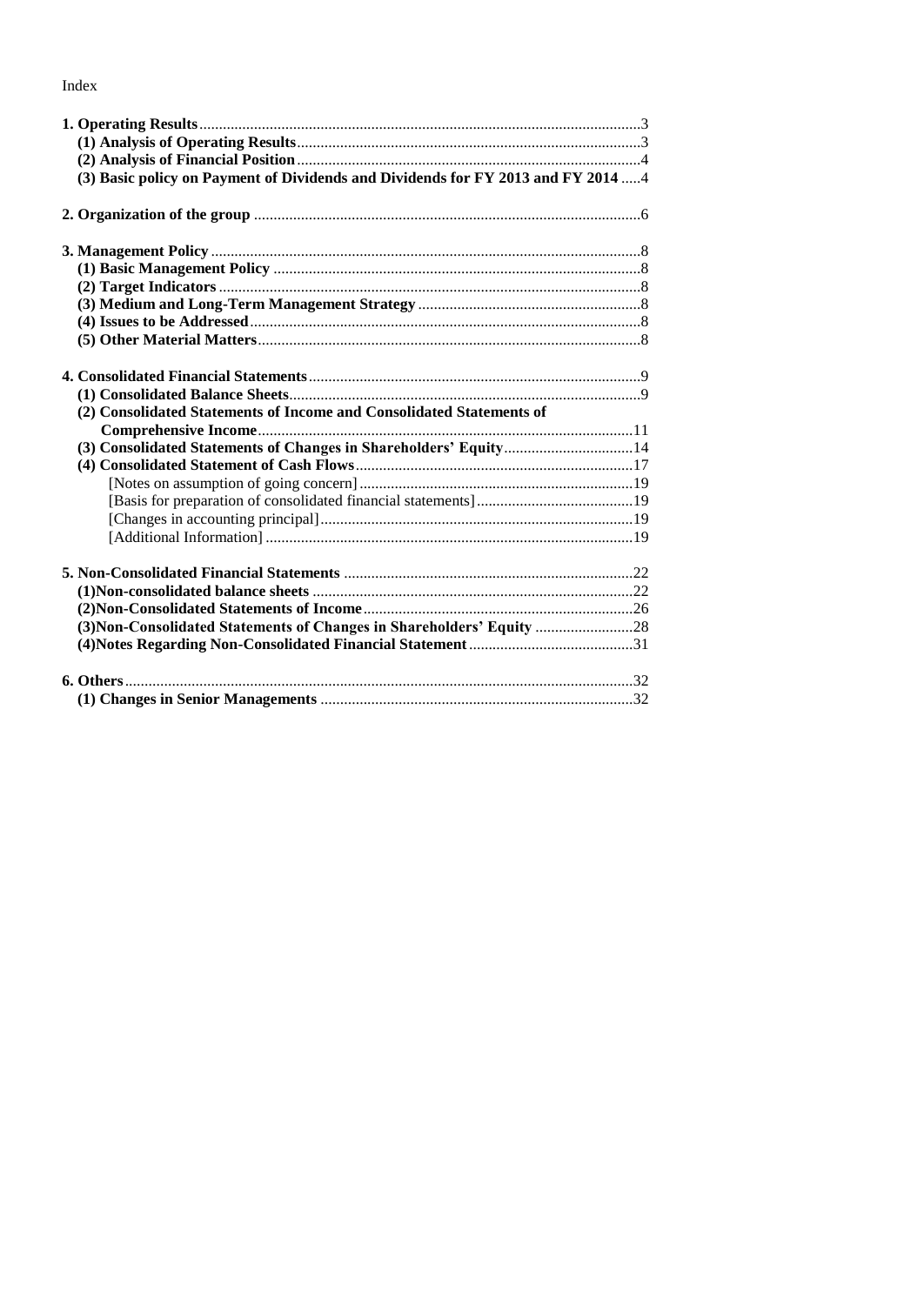Index

| (3) Basic policy on Payment of Dividends and Dividends for FY 2013 and FY 2014  4 |  |
|-----------------------------------------------------------------------------------|--|
|                                                                                   |  |
|                                                                                   |  |
|                                                                                   |  |
|                                                                                   |  |
|                                                                                   |  |
|                                                                                   |  |
|                                                                                   |  |
| (2) Consolidated Statements of Income and Consolidated Statements of              |  |
|                                                                                   |  |
| (3) Consolidated Statements of Changes in Shareholders' Equity14                  |  |
|                                                                                   |  |
|                                                                                   |  |
|                                                                                   |  |
|                                                                                   |  |
|                                                                                   |  |
|                                                                                   |  |
|                                                                                   |  |
|                                                                                   |  |
| (3) Non-Consolidated Statements of Changes in Shareholders' Equity  28            |  |
|                                                                                   |  |
|                                                                                   |  |
|                                                                                   |  |
|                                                                                   |  |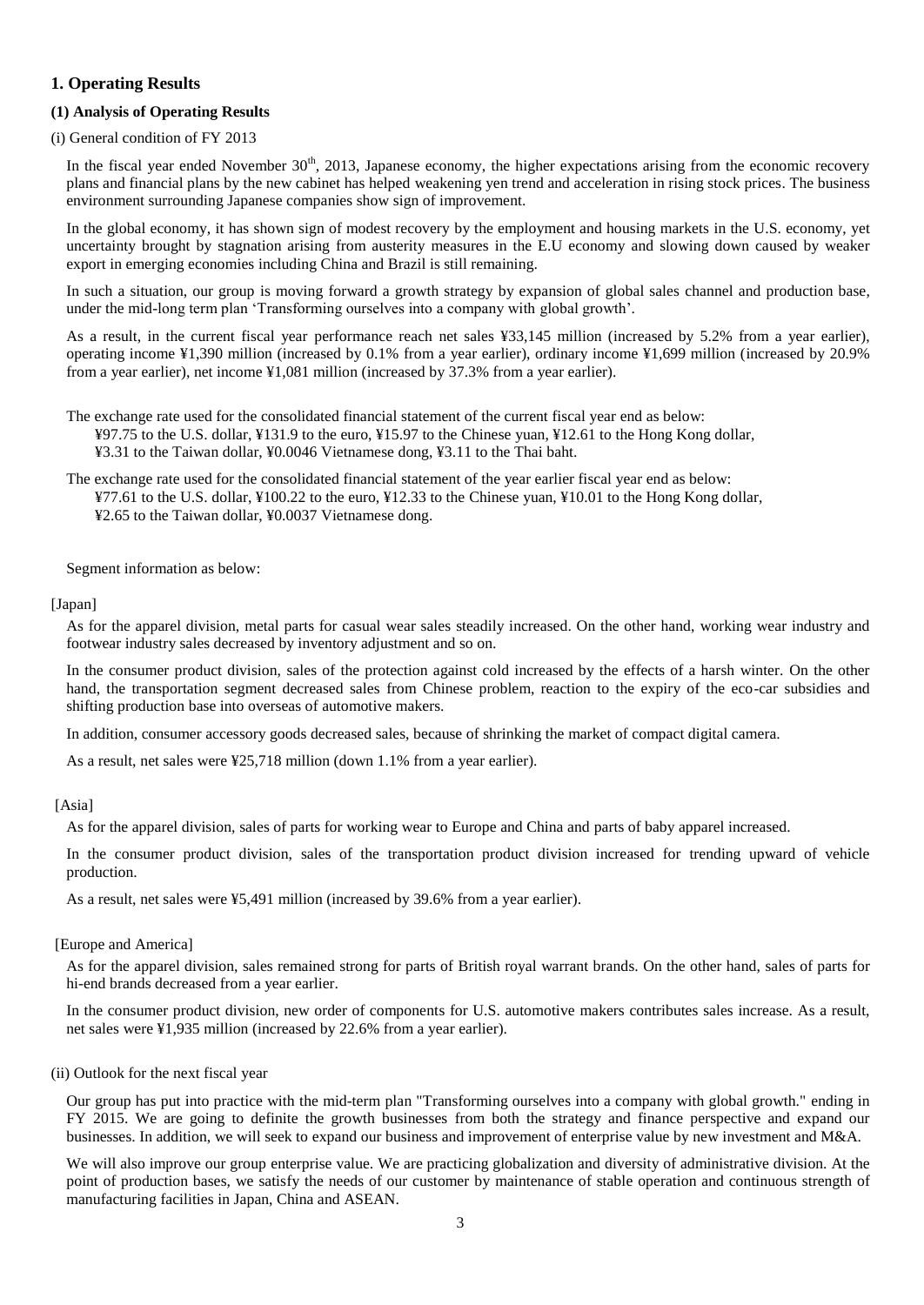## <span id="page-4-0"></span>**1. Operating Results**

#### <span id="page-4-1"></span>**(1) Analysis of Operating Results**

(i) General condition of FY 2013

In the fiscal year ended November  $30<sup>th</sup>$ , 2013, Japanese economy, the higher expectations arising from the economic recovery plans and financial plans by the new cabinet has helped weakening yen trend and acceleration in rising stock prices. The business environment surrounding Japanese companies show sign of improvement.

In the global economy, it has shown sign of modest recovery by the employment and housing markets in the U.S. economy, yet uncertainty brought by stagnation arising from austerity measures in the E.U economy and slowing down caused by weaker export in emerging economies including China and Brazil is still remaining.

In such a situation, our group is moving forward a growth strategy by expansion of global sales channel and production base, under the mid-long term plan 'Transforming ourselves into a company with global growth'.

As a result, in the current fiscal year performance reach net sales ¥33,145 million (increased by 5.2% from a year earlier), operating income ¥1,390 million (increased by 0.1% from a year earlier), ordinary income ¥1,699 million (increased by 20.9% from a year earlier), net income ¥1,081 million (increased by 37.3% from a year earlier).

The exchange rate used for the consolidated financial statement of the current fiscal year end as below: ¥97.75 to the U.S. dollar, ¥131.9 to the euro, ¥15.97 to the Chinese yuan, ¥12.61 to the Hong Kong dollar, ¥3.31 to the Taiwan dollar, ¥0.0046 Vietnamese dong, ¥3.11 to the Thai baht.

The exchange rate used for the consolidated financial statement of the year earlier fiscal year end as below: ¥77.61 to the U.S. dollar, ¥100.22 to the euro, ¥12.33 to the Chinese yuan, ¥10.01 to the Hong Kong dollar, ¥2.65 to the Taiwan dollar, ¥0.0037 Vietnamese dong.

Segment information as below:

#### [Japan]

As for the apparel division, metal parts for casual wear sales steadily increased. On the other hand, working wear industry and footwear industry sales decreased by inventory adjustment and so on.

In the consumer product division, sales of the protection against cold increased by the effects of a harsh winter. On the other hand, the transportation segment decreased sales from Chinese problem, reaction to the expiry of the eco-car subsidies and shifting production base into overseas of automotive makers.

In addition, consumer accessory goods decreased sales, because of shrinking the market of compact digital camera.

As a result, net sales were ¥25,718 million (down 1.1% from a year earlier).

[Asia]

As for the apparel division, sales of parts for working wear to Europe and China and parts of baby apparel increased.

In the consumer product division, sales of the transportation product division increased for trending upward of vehicle production.

As a result, net sales were ¥5,491 million (increased by 39.6% from a year earlier).

#### [Europe and America]

As for the apparel division, sales remained strong for parts of British royal warrant brands. On the other hand, sales of parts for hi-end brands decreased from a year earlier.

In the consumer product division, new order of components for U.S. automotive makers contributes sales increase. As a result, net sales were ¥1,935 million (increased by 22.6% from a year earlier).

#### (ii) Outlook for the next fiscal year

Our group has put into practice with the mid-term plan "Transforming ourselves into a company with global growth." ending in FY 2015. We are going to definite the growth businesses from both the strategy and finance perspective and expand our businesses. In addition, we will seek to expand our business and improvement of enterprise value by new investment and M&A.

We will also improve our group enterprise value. We are practicing globalization and diversity of administrative division. At the point of production bases, we satisfy the needs of our customer by maintenance of stable operation and continuous strength of manufacturing facilities in Japan, China and ASEAN.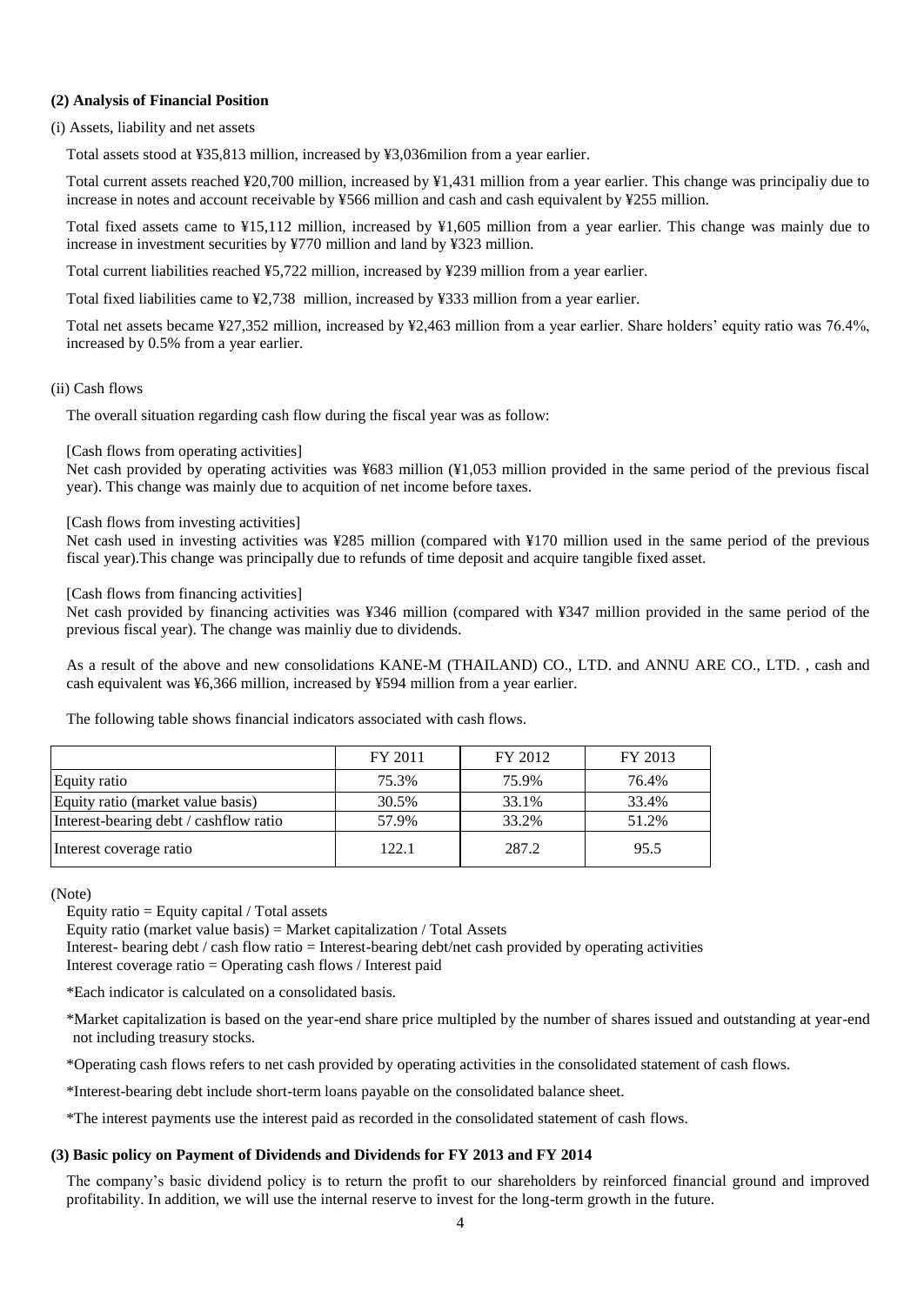#### <span id="page-5-0"></span>**(2) Analysis of Financial Position**

#### (i) Assets, liability and net assets

Total assets stood at ¥35,813 million, increased by ¥3,036milion from a year earlier.

Total current assets reached ¥20,700 million, increased by ¥1,431 million from a year earlier. This change was principaliy due to increase in notes and account receivable by ¥566 million and cash and cash equivalent by ¥255 million.

Total fixed assets came to ¥15,112 million, increased by ¥1,605 million from a year earlier. This change was mainly due to increase in investment securities by ¥770 million and land by ¥323 million.

Total current liabilities reached ¥5,722 million, increased by ¥239 million from a year earlier.

Total fixed liabilities came to ¥2,738 million, increased by ¥333 million from a year earlier.

Total net assets became ¥27,352 million, increased by ¥2,463 million from a year earlier. Share holders' equity ratio was 76.4%, increased by 0.5% from a year earlier.

#### (ii) Cash flows

The overall situation regarding cash flow during the fiscal year was as follow:

#### [Cash flows from operating activities]

Net cash provided by operating activities was ¥683 million (¥1,053 million provided in the same period of the previous fiscal year). This change was mainly due to acquition of net income before taxes.

#### [Cash flows from investing activities]

Net cash used in investing activities was ¥285 million (compared with ¥170 million used in the same period of the previous fiscal year).This change was principally due to refunds of time deposit and acquire tangible fixed asset.

#### [Cash flows from financing activities]

Net cash provided by financing activities was ¥346 million (compared with ¥347 million provided in the same period of the previous fiscal year). The change was mainliy due to dividends.

As a result of the above and new consolidations KANE-M (THAILAND) CO., LTD. and ANNU ARE CO., LTD. , cash and cash equivalent was ¥6,366 million, increased by ¥594 million from a year earlier.

The following table shows financial indicators associated with cash flows.

|                                        | FY 2011 | FY 2012 | FY 2013 |
|----------------------------------------|---------|---------|---------|
| Equity ratio                           | 75.3%   | 75.9%   | 76.4%   |
| Equity ratio (market value basis)      | 30.5%   | 33.1%   | 33.4%   |
| Interest-bearing debt / cashflow ratio | 57.9%   | 33.2%   | 51.2%   |
| Interest coverage ratio                | 122.1   | 287.2   | 95.5    |

(Note)

Equity ratio = Equity capital / Total assets

Equity ratio (market value basis) = Market capitalization / Total Assets

Interest- bearing debt / cash flow ratio = Interest-bearing debt/net cash provided by operating activities Interest coverage ratio = Operating cash flows / Interest paid

\*Each indicator is calculated on a consolidated basis.

\*Market capitalization is based on the year-end share price multipled by the number of shares issued and outstanding at year-end not including treasury stocks.

\*Operating cash flows refers to net cash provided by operating activities in the consolidated statement of cash flows.

\*Interest-bearing debt include short-term loans payable on the consolidated balance sheet.

\*The interest payments use the interest paid as recorded in the consolidated statement of cash flows.

#### <span id="page-5-1"></span>**(3) Basic policy on Payment of Dividends and Dividends for FY 2013 and FY 2014**

The company's basic dividend policy is to return the profit to our shareholders by reinforced financial ground and improved profitability. In addition, we will use the internal reserve to invest for the long-term growth in the future.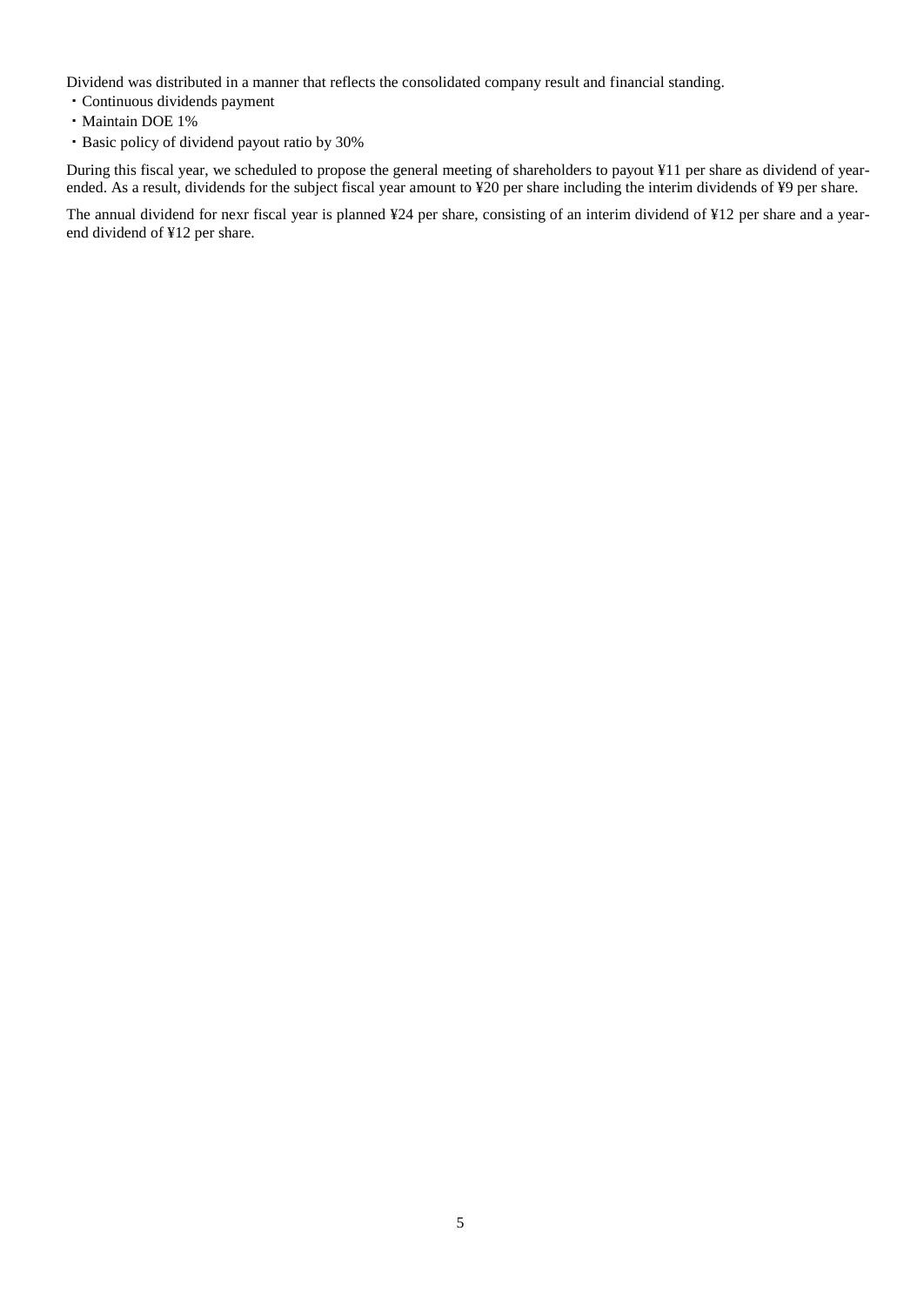Dividend was distributed in a manner that reflects the consolidated company result and financial standing.

- ・Continuous dividends payment
- ・Maintain DOE 1%
- ・Basic policy of dividend payout ratio by 30%

During this fiscal year, we scheduled to propose the general meeting of shareholders to payout ¥11 per share as dividend of yearended. As a result, dividends for the subject fiscal year amount to ¥20 per share including the interim dividends of ¥9 per share.

The annual dividend for nexr fiscal year is planned ¥24 per share, consisting of an interim dividend of ¥12 per share and a yearend dividend of ¥12 per share.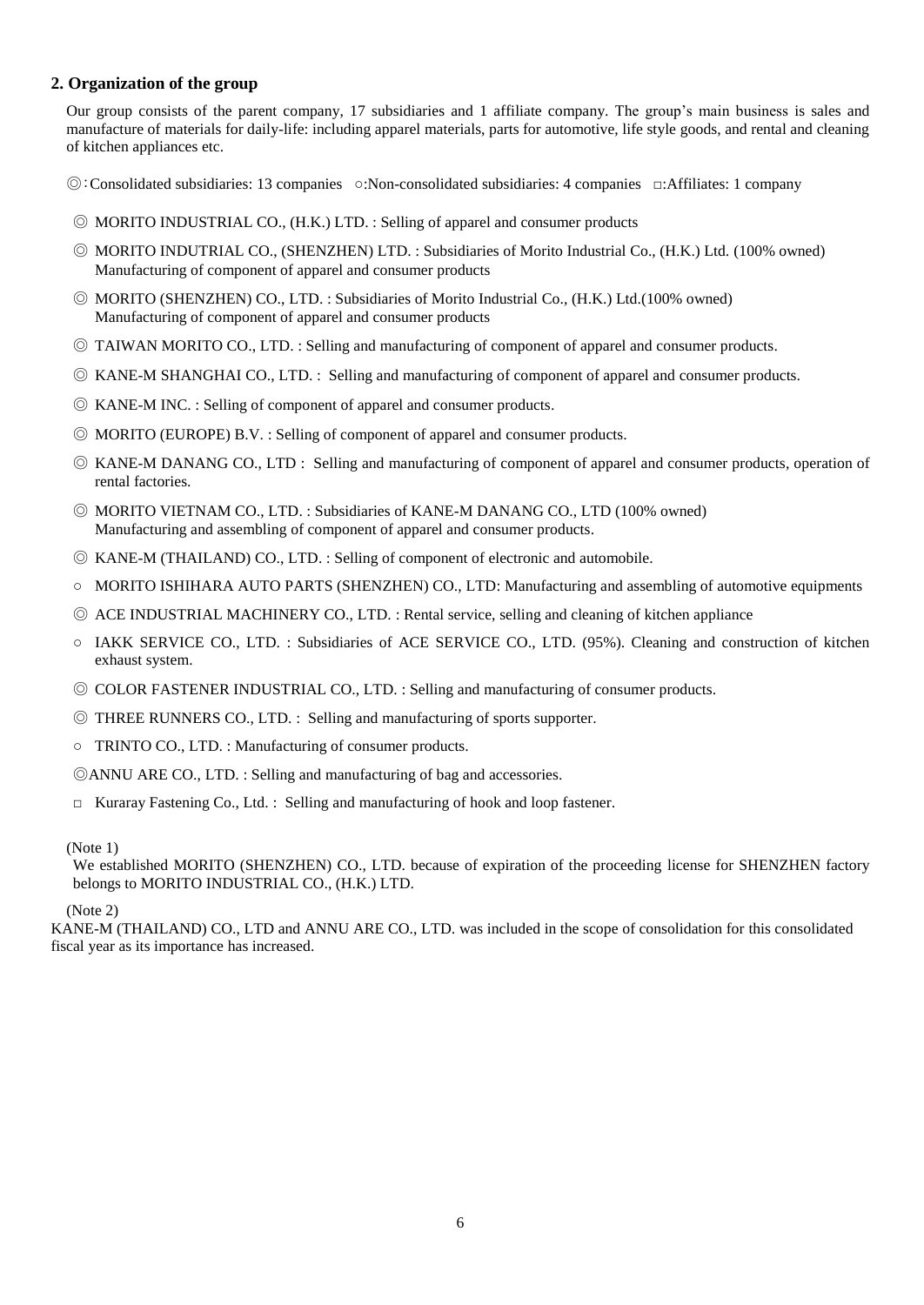## <span id="page-7-0"></span>**2. Organization of the group**

Our group consists of the parent company, 17 subsidiaries and 1 affiliate company. The group's main business is sales and manufacture of materials for daily-life: including apparel materials, parts for automotive, life style goods, and rental and cleaning of kitchen appliances etc.

◎:Consolidated subsidiaries: 13 companies ○:Non-consolidated subsidiaries: 4 companies □:Affiliates: 1 company

- ◎ MORITO INDUSTRIAL CO., (H.K.) LTD. : Selling of apparel and consumer products
- ◎ MORITO INDUTRIAL CO., (SHENZHEN) LTD. : Subsidiaries of Morito Industrial Co., (H.K.) Ltd. (100% owned) Manufacturing of component of apparel and consumer products
- ◎ MORITO (SHENZHEN) CO., LTD. : Subsidiaries of Morito Industrial Co., (H.K.) Ltd.(100% owned) Manufacturing of component of apparel and consumer products
- ◎ TAIWAN MORITO CO., LTD. : Selling and manufacturing of component of apparel and consumer products.
- ◎ KANE-M SHANGHAI CO., LTD. : Selling and manufacturing of component of apparel and consumer products.
- ◎ KANE-M INC. : Selling of component of apparel and consumer products.
- ◎ MORITO (EUROPE) B.V. : Selling of component of apparel and consumer products.
- ◎ KANE-M DANANG CO., LTD : Selling and manufacturing of component of apparel and consumer products, operation of rental factories.
- ◎ MORITO VIETNAM CO., LTD. : Subsidiaries of KANE-M DANANG CO., LTD (100% owned) Manufacturing and assembling of component of apparel and consumer products.
- ◎ KANE-M (THAILAND) CO., LTD. : Selling of component of electronic and automobile.
- MORITO ISHIHARA AUTO PARTS (SHENZHEN) CO., LTD: Manufacturing and assembling of automotive equipments
- ◎ ACE INDUSTRIAL MACHINERY CO., LTD. : Rental service, selling and cleaning of kitchen appliance
- IAKK SERVICE CO., LTD. : Subsidiaries of ACE SERVICE CO., LTD. (95%). Cleaning and construction of kitchen exhaust system.
- ◎ COLOR FASTENER INDUSTRIAL CO., LTD. : Selling and manufacturing of consumer products.
- ◎ THREE RUNNERS CO., LTD. : Selling and manufacturing of sports supporter.
- TRINTO CO., LTD. : Manufacturing of consumer products.
- ◎ANNU ARE CO., LTD. : Selling and manufacturing of bag and accessories.
- □ Kuraray Fastening Co., Ltd. : Selling and manufacturing of hook and loop fastener.

#### (Note 1)

We established MORITO (SHENZHEN) CO., LTD. because of expiration of the proceeding license for SHENZHEN factory belongs to MORITO INDUSTRIAL CO., (H.K.) LTD.

#### (Note 2)

KANE-M (THAILAND) CO., LTD and ANNU ARE CO., LTD. was included in the scope of consolidation for this consolidated fiscal year as its importance has increased.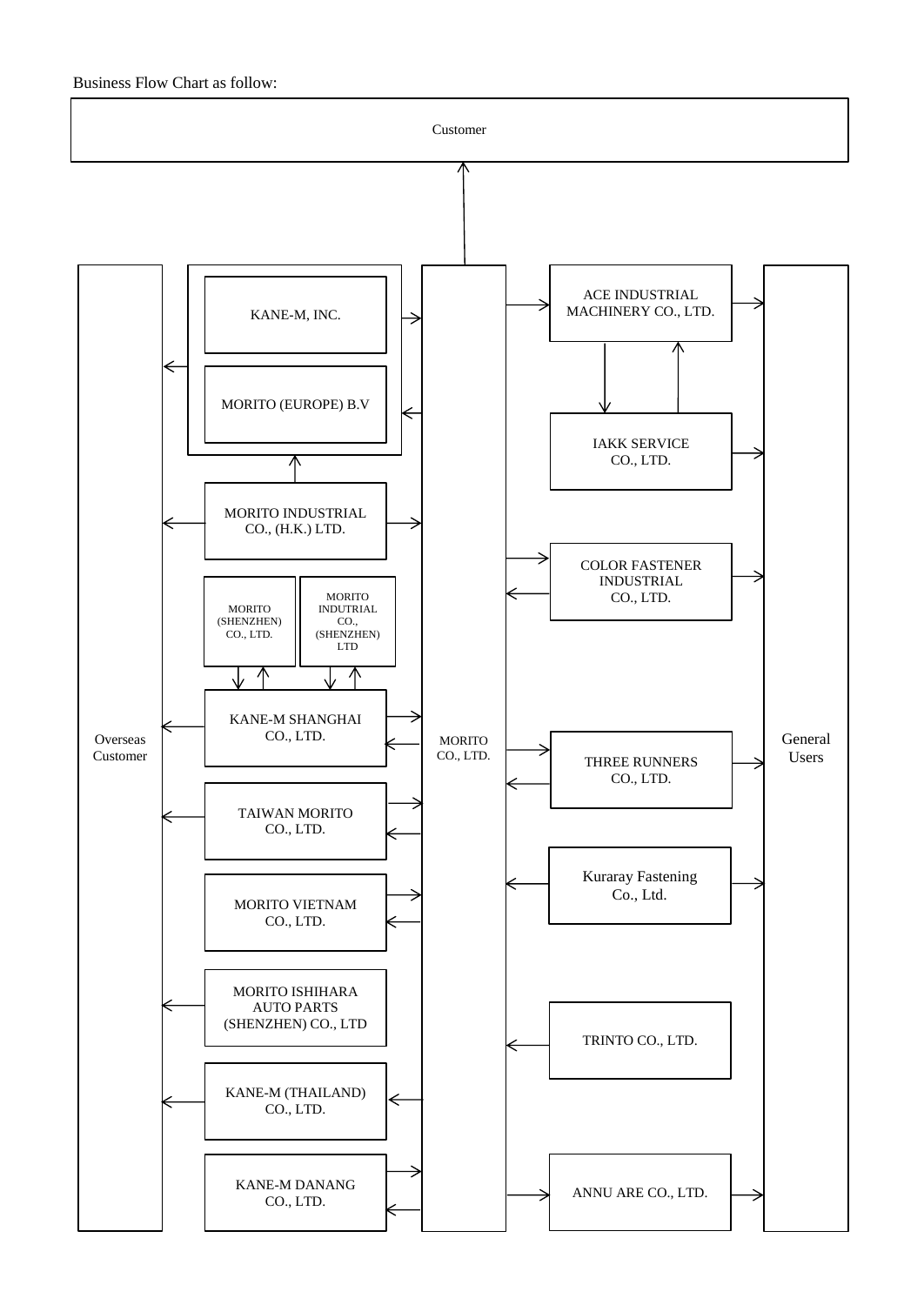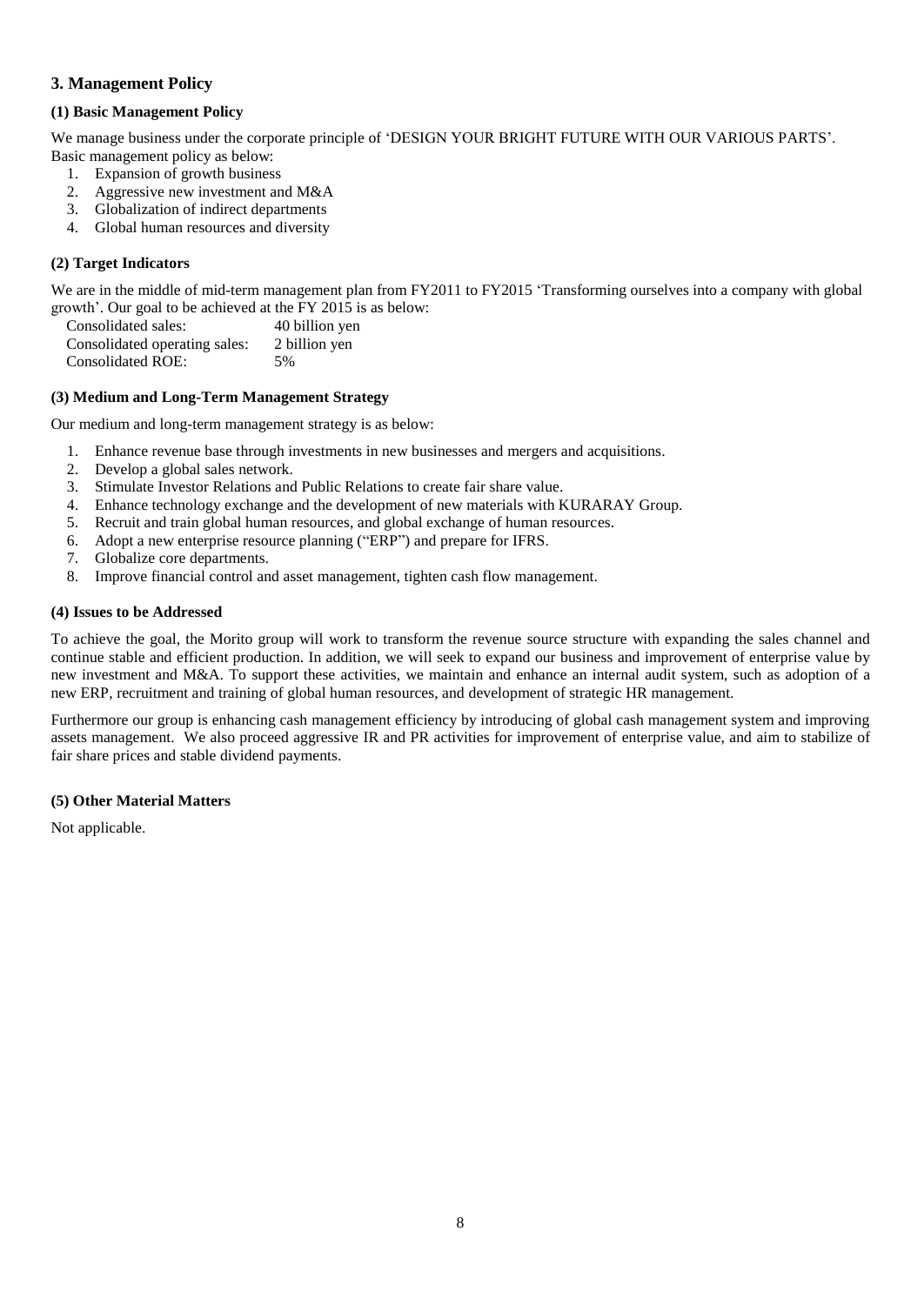## <span id="page-9-0"></span>**3. Management Policy**

## <span id="page-9-1"></span>**(1) Basic Management Policy**

We manage business under the corporate principle of 'DESIGN YOUR BRIGHT FUTURE WITH OUR VARIOUS PARTS'. Basic management policy as below:

- 1. Expansion of growth business
- 2. Aggressive new investment and M&A
- 3. Globalization of indirect departments
- 4. Global human resources and diversity

## <span id="page-9-2"></span>**(2) Target Indicators**

We are in the middle of mid-term management plan from FY2011 to FY2015 'Transforming ourselves into a company with global growth'. Our goal to be achieved at the FY 2015 is as below:

| Consolidated sales:           | 40 billion yen |
|-------------------------------|----------------|
| Consolidated operating sales: | 2 billion yen  |
| <b>Consolidated ROE:</b>      | .5%            |

#### <span id="page-9-3"></span>**(3) Medium and Long-Term Management Strategy**

Our medium and long-term management strategy is as below:

- 1. Enhance revenue base through investments in new businesses and mergers and acquisitions.
- 2. Develop a global sales network.
- 3. Stimulate Investor Relations and Public Relations to create fair share value.
- 4. Enhance technology exchange and the development of new materials with KURARAY Group.
- 5. Recruit and train global human resources, and global exchange of human resources.
- 6. Adopt a new enterprise resource planning ("ERP") and prepare for IFRS.
- 7. Globalize core departments.
- 8. Improve financial control and asset management, tighten cash flow management.

#### <span id="page-9-4"></span>**(4) Issues to be Addressed**

To achieve the goal, the Morito group will work to transform the revenue source structure with expanding the sales channel and continue stable and efficient production. In addition, we will seek to expand our business and improvement of enterprise value by new investment and M&A. To support these activities, we maintain and enhance an internal audit system, such as adoption of a new ERP, recruitment and training of global human resources, and development of strategic HR management.

Furthermore our group is enhancing cash management efficiency by introducing of global cash management system and improving assets management. We also proceed aggressive IR and PR activities for improvement of enterprise value, and aim to stabilize of fair share prices and stable dividend payments.

## <span id="page-9-5"></span>**(5) Other Material Matters**

Not applicable.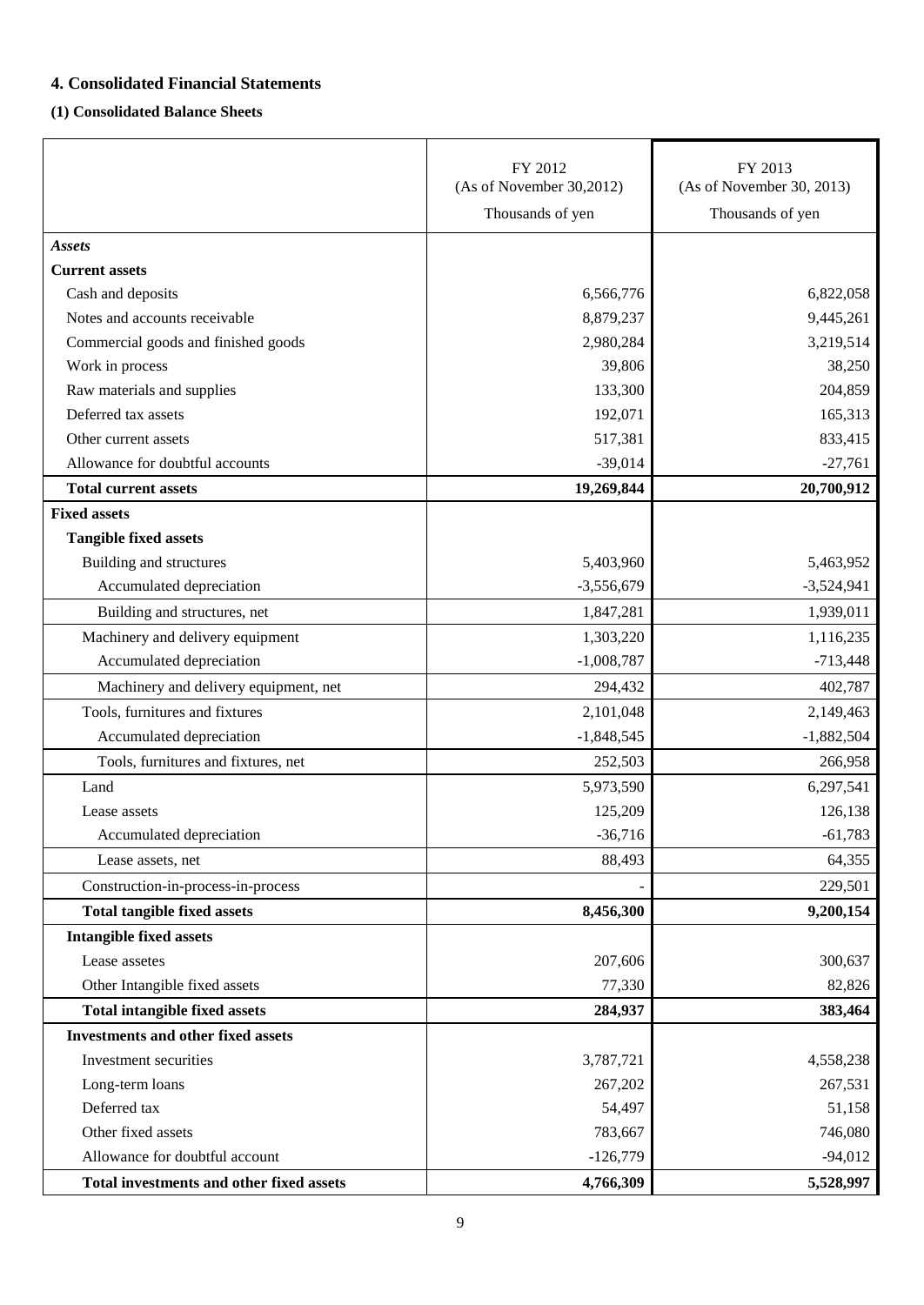# <span id="page-10-0"></span>**4. Consolidated Financial Statements**

## <span id="page-10-1"></span>**(1) Consolidated Balance Sheets**

|                                           | FY 2012<br>(As of November 30,2012) | FY 2013<br>(As of November 30, 2013) |
|-------------------------------------------|-------------------------------------|--------------------------------------|
|                                           | Thousands of yen                    | Thousands of yen                     |
| <b>Assets</b>                             |                                     |                                      |
| <b>Current assets</b>                     |                                     |                                      |
| Cash and deposits                         | 6,566,776                           | 6,822,058                            |
| Notes and accounts receivable             | 8,879,237                           | 9,445,261                            |
| Commercial goods and finished goods       | 2,980,284                           | 3,219,514                            |
| Work in process                           | 39,806                              | 38,250                               |
| Raw materials and supplies                | 133,300                             | 204,859                              |
| Deferred tax assets                       | 192,071                             | 165,313                              |
| Other current assets                      | 517,381                             | 833,415                              |
| Allowance for doubtful accounts           | $-39,014$                           | $-27,761$                            |
| <b>Total current assets</b>               | 19,269,844                          | 20,700,912                           |
| <b>Fixed assets</b>                       |                                     |                                      |
| <b>Tangible fixed assets</b>              |                                     |                                      |
| Building and structures                   | 5,403,960                           | 5,463,952                            |
| Accumulated depreciation                  | $-3,556,679$                        | $-3,524,941$                         |
| Building and structures, net              | 1,847,281                           | 1,939,011                            |
| Machinery and delivery equipment          | 1,303,220                           | 1,116,235                            |
| Accumulated depreciation                  | $-1,008,787$                        | $-713,448$                           |
| Machinery and delivery equipment, net     | 294,432                             | 402,787                              |
| Tools, furnitures and fixtures            | 2,101,048                           | 2,149,463                            |
| Accumulated depreciation                  | $-1,848,545$                        | $-1,882,504$                         |
| Tools, furnitures and fixtures, net       | 252,503                             | 266,958                              |
| Land                                      | 5,973,590                           | 6,297,541                            |
| Lease assets                              | 125,209                             | 126,138                              |
| Accumulated depreciation                  | $-36,716$                           | $-61,783$                            |
| Lease assets, net                         | 88,493                              | 64,355                               |
| Construction-in-process-in-process        |                                     | 229,501                              |
| <b>Total tangible fixed assets</b>        | 8,456,300                           | 9,200,154                            |
| <b>Intangible fixed assets</b>            |                                     |                                      |
| Lease assetes                             | 207,606                             | 300,637                              |
| Other Intangible fixed assets             | 77,330                              | 82,826                               |
| <b>Total intangible fixed assets</b>      | 284,937                             | 383,464                              |
| <b>Investments and other fixed assets</b> |                                     |                                      |
| Investment securities                     | 3,787,721                           | 4,558,238                            |
| Long-term loans                           | 267,202                             | 267,531                              |
| Deferred tax                              | 54,497                              | 51,158                               |
| Other fixed assets                        | 783,667                             | 746,080                              |
| Allowance for doubtful account            | $-126,779$                          | $-94,012$                            |
| Total investments and other fixed assets  | 4,766,309                           | 5,528,997                            |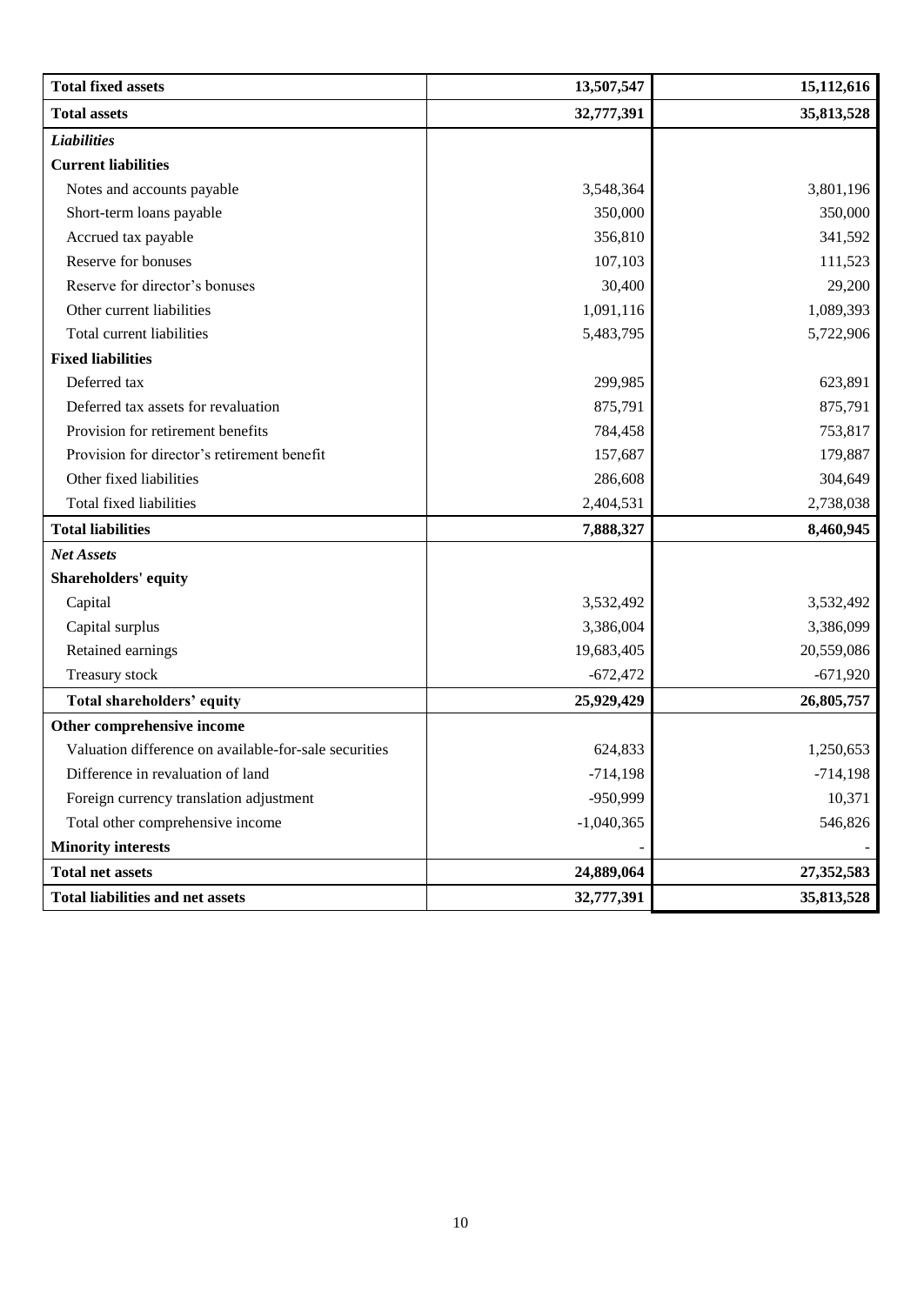| <b>Total fixed assets</b>                             | 13,507,547   | 15,112,616 |
|-------------------------------------------------------|--------------|------------|
| <b>Total assets</b>                                   | 32,777,391   | 35,813,528 |
| <b>Liabilities</b>                                    |              |            |
| <b>Current liabilities</b>                            |              |            |
| Notes and accounts payable                            | 3,548,364    | 3,801,196  |
| Short-term loans payable                              | 350,000      | 350,000    |
| Accrued tax payable                                   | 356,810      | 341,592    |
| Reserve for bonuses                                   | 107,103      | 111,523    |
| Reserve for director's bonuses                        | 30,400       | 29,200     |
| Other current liabilities                             | 1,091,116    | 1,089,393  |
| Total current liabilities                             | 5,483,795    | 5,722,906  |
| <b>Fixed liabilities</b>                              |              |            |
| Deferred tax                                          | 299,985      | 623,891    |
| Deferred tax assets for revaluation                   | 875,791      | 875,791    |
| Provision for retirement benefits                     | 784,458      | 753,817    |
| Provision for director's retirement benefit           | 157,687      | 179,887    |
| Other fixed liabilities                               | 286,608      | 304,649    |
| Total fixed liabilities                               | 2,404,531    | 2,738,038  |
| <b>Total liabilities</b>                              | 7,888,327    | 8,460,945  |
| <b>Net Assets</b>                                     |              |            |
| <b>Shareholders' equity</b>                           |              |            |
| Capital                                               | 3,532,492    | 3,532,492  |
| Capital surplus                                       | 3,386,004    | 3,386,099  |
| Retained earnings                                     | 19,683,405   | 20,559,086 |
| Treasury stock                                        | $-672,472$   | $-671,920$ |
| Total shareholders' equity                            | 25,929,429   | 26,805,757 |
| Other comprehensive income                            |              |            |
| Valuation difference on available-for-sale securities | 624,833      | 1,250,653  |
| Difference in revaluation of land                     | $-714,198$   | $-714,198$ |
| Foreign currency translation adjustment               | -950,999     | 10,371     |
| Total other comprehensive income                      | $-1,040,365$ | 546,826    |
| <b>Minority interests</b>                             |              |            |
| <b>Total net assets</b>                               | 24,889,064   | 27,352,583 |
| <b>Total liabilities and net assets</b>               | 32,777,391   | 35,813,528 |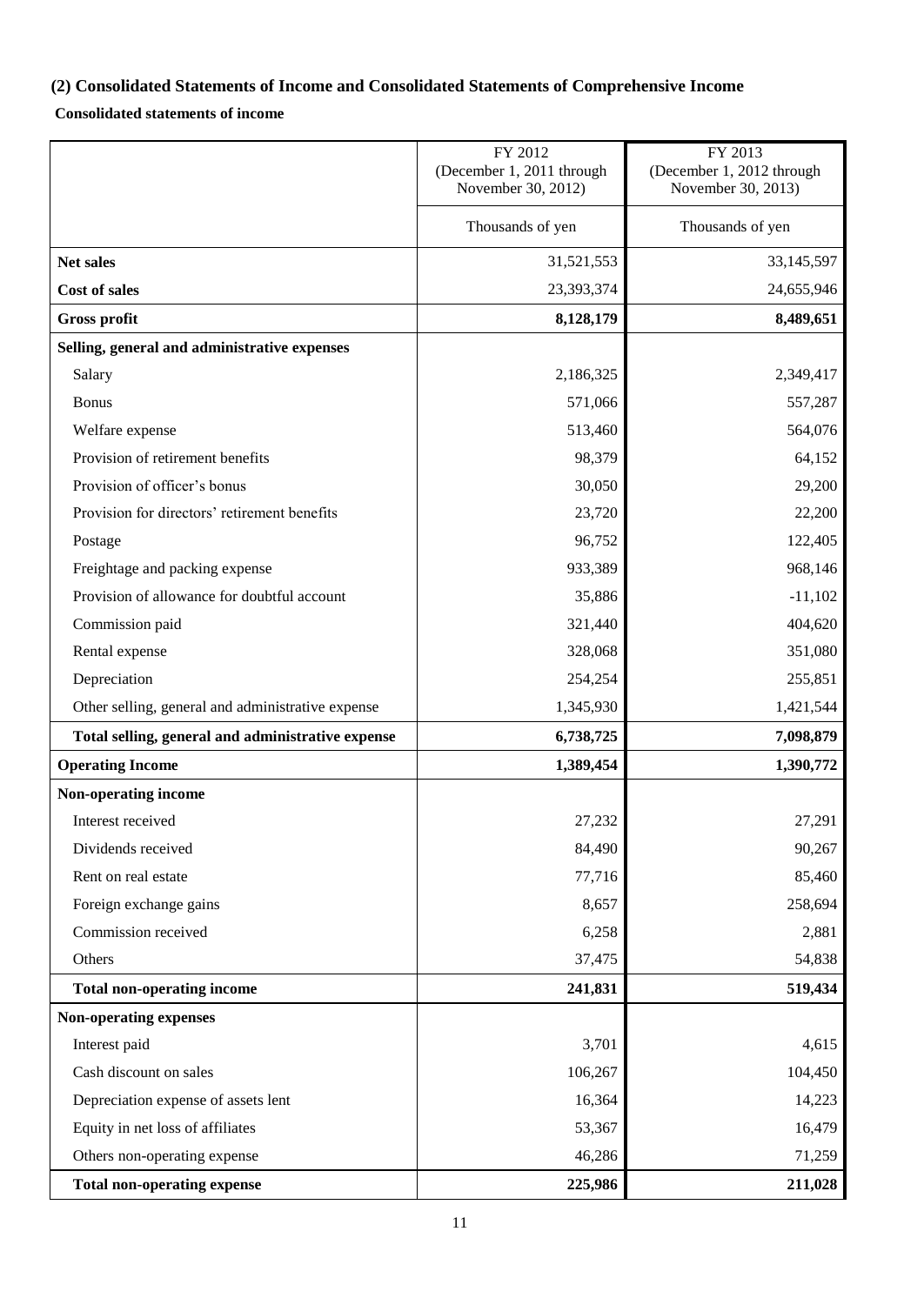# <span id="page-12-0"></span>**(2) Consolidated Statements of Income and Consolidated Statements of Comprehensive Income**

## **Consolidated statements of income**

|                                                   | FY 2012<br>(December 1, 2011 through<br>November 30, 2012) | FY 2013<br>(December 1, 2012 through<br>November 30, 2013) |
|---------------------------------------------------|------------------------------------------------------------|------------------------------------------------------------|
|                                                   | Thousands of yen                                           | Thousands of yen                                           |
| Net sales                                         | 31,521,553                                                 | 33,145,597                                                 |
| <b>Cost of sales</b>                              | 23,393,374                                                 | 24,655,946                                                 |
| <b>Gross profit</b>                               | 8,128,179                                                  | 8,489,651                                                  |
| Selling, general and administrative expenses      |                                                            |                                                            |
| Salary                                            | 2,186,325                                                  | 2,349,417                                                  |
| <b>Bonus</b>                                      | 571,066                                                    | 557,287                                                    |
| Welfare expense                                   | 513,460                                                    | 564,076                                                    |
| Provision of retirement benefits                  | 98,379                                                     | 64,152                                                     |
| Provision of officer's bonus                      | 30,050                                                     | 29,200                                                     |
| Provision for directors' retirement benefits      | 23,720                                                     | 22,200                                                     |
| Postage                                           | 96,752                                                     | 122,405                                                    |
| Freightage and packing expense                    | 933,389                                                    | 968,146                                                    |
| Provision of allowance for doubtful account       | 35,886                                                     | $-11,102$                                                  |
| Commission paid                                   | 321,440                                                    | 404,620                                                    |
| Rental expense                                    | 328,068                                                    | 351,080                                                    |
| Depreciation                                      | 254,254                                                    | 255,851                                                    |
| Other selling, general and administrative expense | 1,345,930                                                  | 1,421,544                                                  |
| Total selling, general and administrative expense | 6,738,725                                                  | 7,098,879                                                  |
| <b>Operating Income</b>                           | 1,389,454                                                  | 1,390,772                                                  |
| Non-operating income                              |                                                            |                                                            |
| Interest received                                 | 27,232                                                     | 27,291                                                     |
| Dividends received                                | 84,490                                                     | 90,267                                                     |
| Rent on real estate                               | 77,716                                                     | 85,460                                                     |
| Foreign exchange gains                            | 8,657                                                      | 258,694                                                    |
| Commission received                               | 6,258                                                      | 2,881                                                      |
| Others                                            | 37,475                                                     | 54,838                                                     |
| <b>Total non-operating income</b>                 | 241,831                                                    | 519,434                                                    |
| Non-operating expenses                            |                                                            |                                                            |
| Interest paid                                     | 3,701                                                      | 4,615                                                      |
| Cash discount on sales                            | 106,267                                                    | 104,450                                                    |
| Depreciation expense of assets lent               | 16,364                                                     | 14,223                                                     |
| Equity in net loss of affiliates                  | 53,367                                                     | 16,479                                                     |
| Others non-operating expense                      | 46,286                                                     | 71,259                                                     |
| <b>Total non-operating expense</b>                | 225,986                                                    | 211,028                                                    |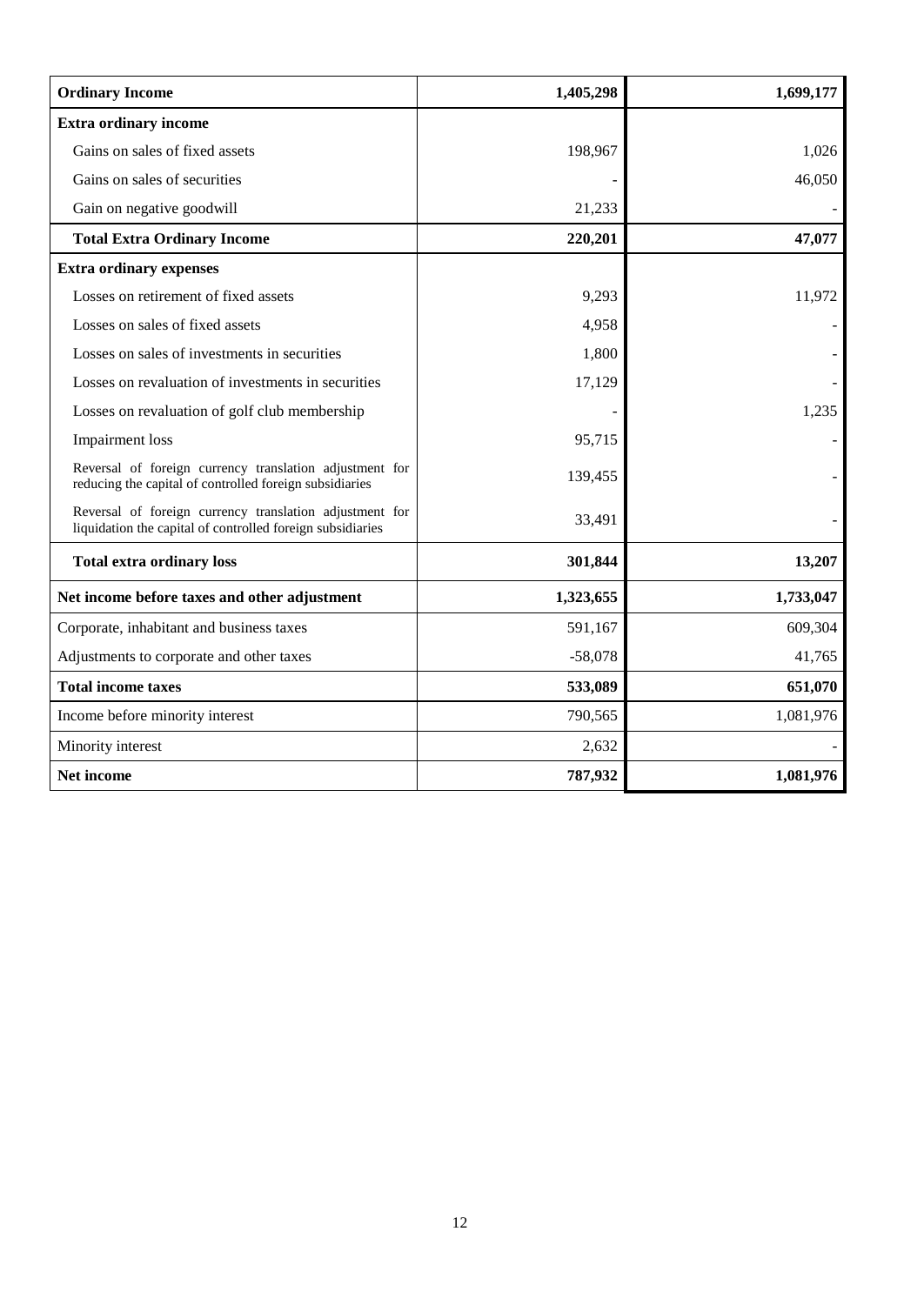| <b>Ordinary Income</b>                                                                                                | 1,405,298 | 1,699,177 |
|-----------------------------------------------------------------------------------------------------------------------|-----------|-----------|
| <b>Extra ordinary income</b>                                                                                          |           |           |
| Gains on sales of fixed assets                                                                                        | 198,967   | 1,026     |
| Gains on sales of securities                                                                                          |           | 46,050    |
| Gain on negative goodwill                                                                                             | 21,233    |           |
| <b>Total Extra Ordinary Income</b>                                                                                    | 220,201   | 47,077    |
| <b>Extra ordinary expenses</b>                                                                                        |           |           |
| Losses on retirement of fixed assets                                                                                  | 9,293     | 11,972    |
| Losses on sales of fixed assets                                                                                       | 4,958     |           |
| Losses on sales of investments in securities                                                                          | 1,800     |           |
| Losses on revaluation of investments in securities                                                                    | 17,129    |           |
| Losses on revaluation of golf club membership                                                                         |           | 1,235     |
| <b>Impairment</b> loss                                                                                                | 95,715    |           |
| Reversal of foreign currency translation adjustment for<br>reducing the capital of controlled foreign subsidiaries    | 139,455   |           |
| Reversal of foreign currency translation adjustment for<br>liquidation the capital of controlled foreign subsidiaries | 33,491    |           |
| <b>Total extra ordinary loss</b>                                                                                      | 301,844   | 13,207    |
| Net income before taxes and other adjustment                                                                          | 1,323,655 | 1,733,047 |
| Corporate, inhabitant and business taxes                                                                              | 591,167   | 609,304   |
| Adjustments to corporate and other taxes                                                                              | $-58,078$ | 41,765    |
| <b>Total income taxes</b>                                                                                             | 533,089   | 651,070   |
| Income before minority interest                                                                                       | 790,565   | 1,081,976 |
| Minority interest                                                                                                     | 2,632     |           |
| Net income                                                                                                            | 787,932   | 1,081,976 |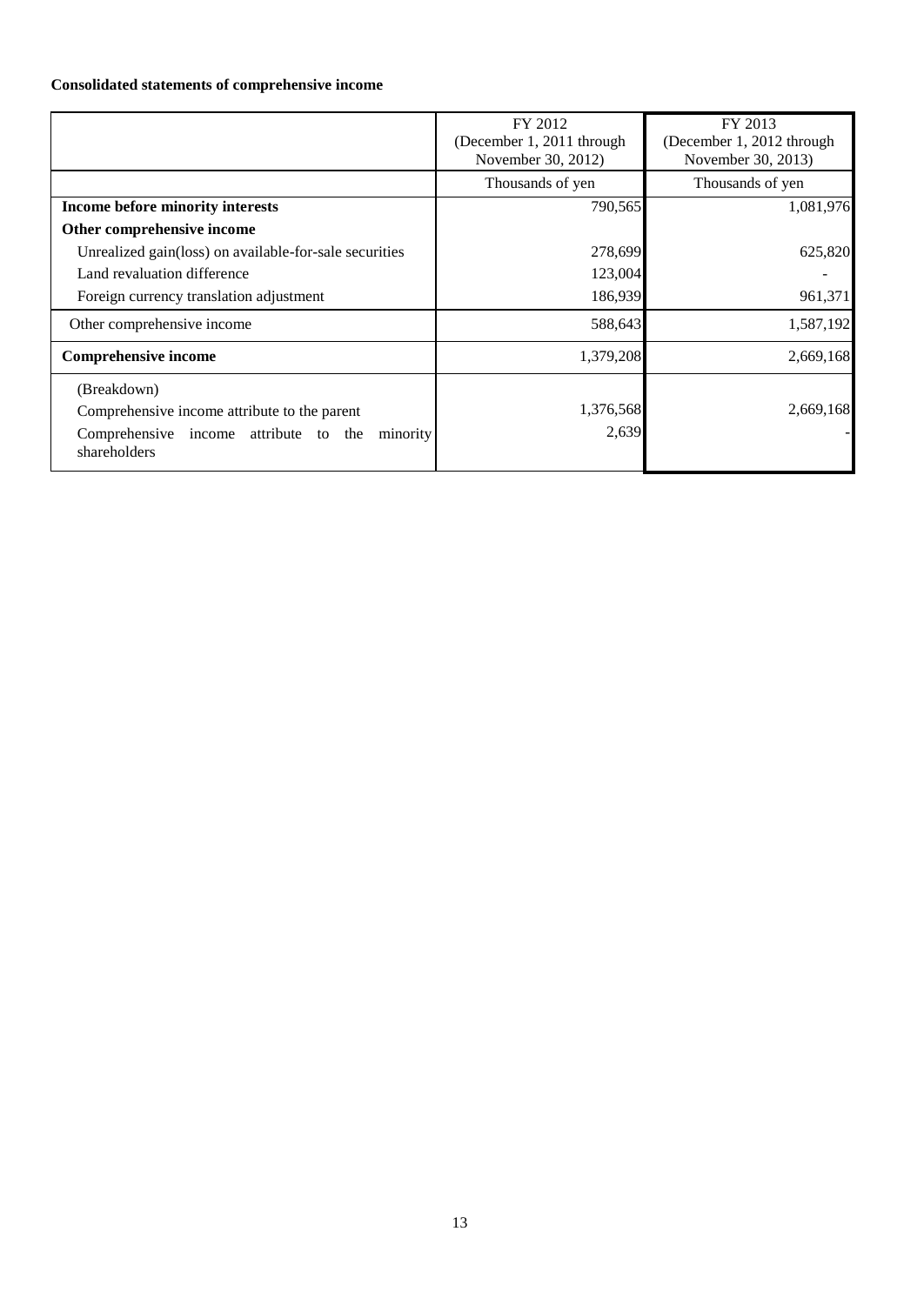## **Consolidated statements of comprehensive income**

|                                                                   | FY 2012                   | FY 2013                   |
|-------------------------------------------------------------------|---------------------------|---------------------------|
|                                                                   | (December 1, 2011 through | (December 1, 2012 through |
|                                                                   | November 30, 2012)        | November 30, 2013)        |
|                                                                   | Thousands of yen          | Thousands of yen          |
| Income before minority interests                                  | 790,565                   | 1,081,976                 |
| Other comprehensive income                                        |                           |                           |
| Unrealized gain(loss) on available-for-sale securities            | 278,699                   | 625,820                   |
| Land revaluation difference                                       | 123,004                   |                           |
| Foreign currency translation adjustment                           | 186,939                   | 961,371                   |
| Other comprehensive income                                        | 588,643                   | 1,587,192                 |
| <b>Comprehensive income</b>                                       | 1,379,208                 | 2,669,168                 |
| (Breakdown)                                                       |                           |                           |
| Comprehensive income attribute to the parent                      | 1,376,568                 | 2,669,168                 |
| Comprehensive income attribute to the<br>minority<br>shareholders | 2,639                     |                           |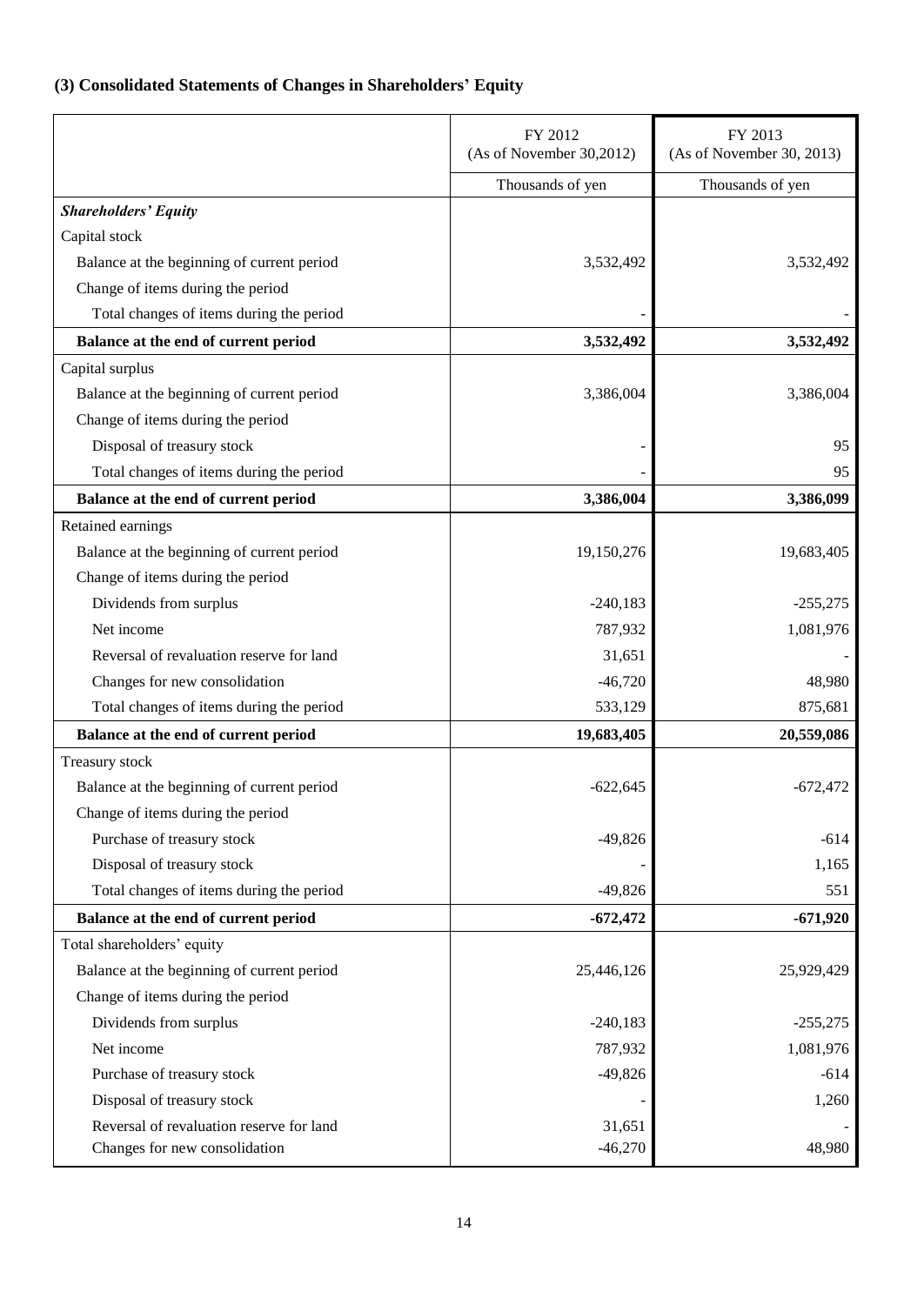# <span id="page-15-0"></span>**(3) Consolidated Statements of Changes in Shareholders' Equity**

|                                            | FY 2012<br>(As of November 30,2012) | FY 2013<br>(As of November 30, 2013) |
|--------------------------------------------|-------------------------------------|--------------------------------------|
|                                            | Thousands of yen                    | Thousands of yen                     |
| <b>Shareholders' Equity</b>                |                                     |                                      |
| Capital stock                              |                                     |                                      |
| Balance at the beginning of current period | 3,532,492                           | 3,532,492                            |
| Change of items during the period          |                                     |                                      |
| Total changes of items during the period   |                                     |                                      |
| Balance at the end of current period       | 3,532,492                           | 3,532,492                            |
| Capital surplus                            |                                     |                                      |
| Balance at the beginning of current period | 3,386,004                           | 3,386,004                            |
| Change of items during the period          |                                     |                                      |
| Disposal of treasury stock                 |                                     | 95                                   |
| Total changes of items during the period   |                                     | 95                                   |
| Balance at the end of current period       | 3,386,004                           | 3,386,099                            |
| Retained earnings                          |                                     |                                      |
| Balance at the beginning of current period | 19,150,276                          | 19,683,405                           |
| Change of items during the period          |                                     |                                      |
| Dividends from surplus                     | $-240,183$                          | $-255,275$                           |
| Net income                                 | 787,932                             | 1,081,976                            |
| Reversal of revaluation reserve for land   | 31,651                              |                                      |
| Changes for new consolidation              | $-46,720$                           | 48,980                               |
| Total changes of items during the period   | 533,129                             | 875,681                              |
| Balance at the end of current period       | 19,683,405                          | 20,559,086                           |
| Treasury stock                             |                                     |                                      |
| Balance at the beginning of current period | $-622,645$                          | $-672,472$                           |
| Change of items during the period          |                                     |                                      |
| Purchase of treasury stock                 | $-49,826$                           | $-614$                               |
| Disposal of treasury stock                 |                                     | 1,165                                |
| Total changes of items during the period   | $-49,826$                           | 551                                  |
| Balance at the end of current period       | $-672,472$                          | $-671,920$                           |
| Total shareholders' equity                 |                                     |                                      |
| Balance at the beginning of current period | 25,446,126                          | 25,929,429                           |
| Change of items during the period          |                                     |                                      |
| Dividends from surplus                     | $-240,183$                          | $-255,275$                           |
| Net income                                 | 787,932                             | 1,081,976                            |
| Purchase of treasury stock                 | $-49,826$                           | $-614$                               |
| Disposal of treasury stock                 |                                     | 1,260                                |
| Reversal of revaluation reserve for land   | 31,651                              |                                      |
| Changes for new consolidation              | $-46,270$                           | 48,980                               |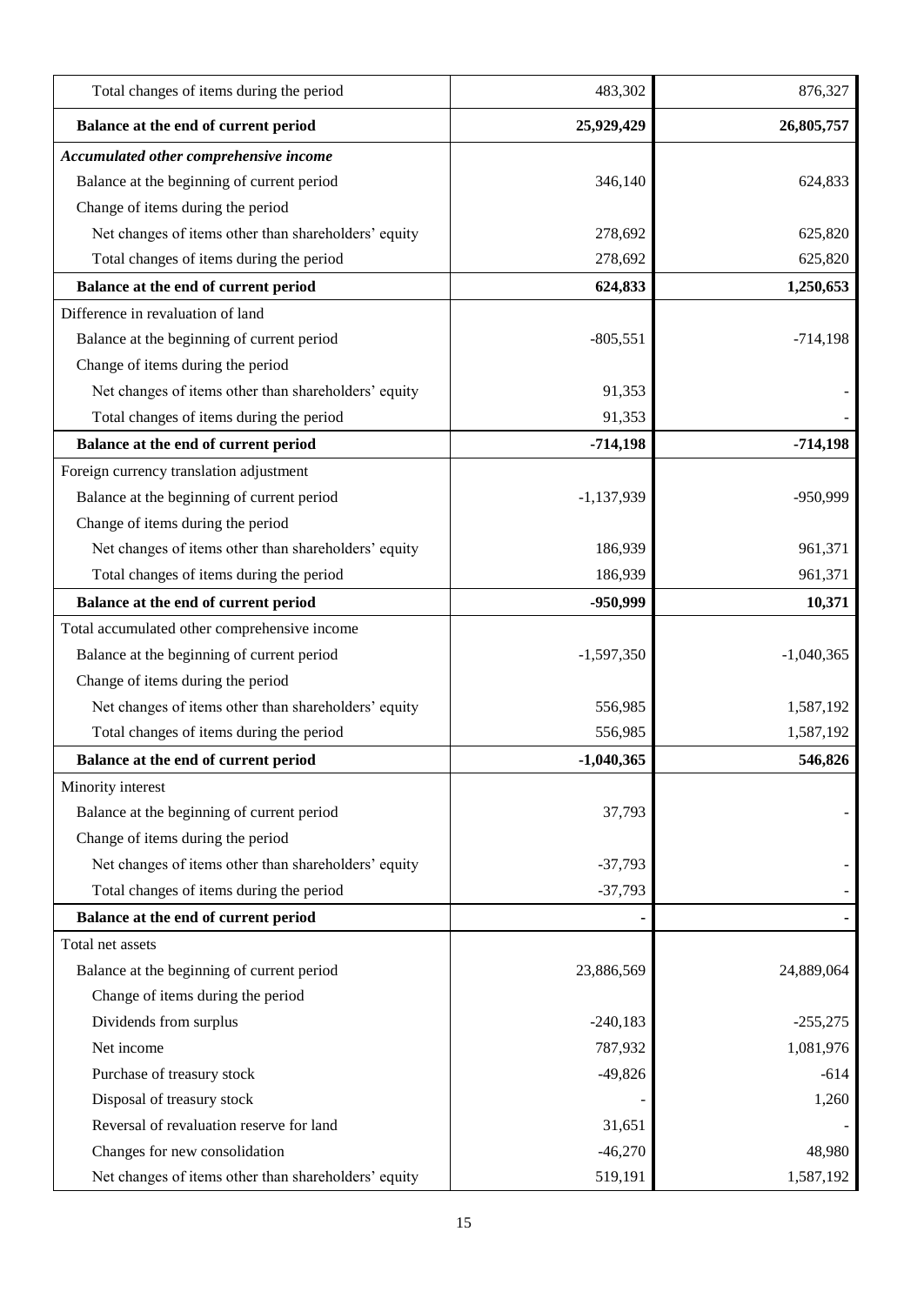| Total changes of items during the period             | 483,302      | 876,327      |
|------------------------------------------------------|--------------|--------------|
| Balance at the end of current period                 | 25,929,429   | 26,805,757   |
| Accumulated other comprehensive income               |              |              |
| Balance at the beginning of current period           | 346,140      | 624,833      |
| Change of items during the period                    |              |              |
| Net changes of items other than shareholders' equity | 278,692      | 625,820      |
| Total changes of items during the period             | 278,692      | 625,820      |
| Balance at the end of current period                 | 624,833      | 1,250,653    |
| Difference in revaluation of land                    |              |              |
| Balance at the beginning of current period           | $-805,551$   | $-714,198$   |
| Change of items during the period                    |              |              |
| Net changes of items other than shareholders' equity | 91,353       |              |
| Total changes of items during the period             | 91,353       |              |
| Balance at the end of current period                 | $-714,198$   | $-714,198$   |
| Foreign currency translation adjustment              |              |              |
| Balance at the beginning of current period           | $-1,137,939$ | -950,999     |
| Change of items during the period                    |              |              |
| Net changes of items other than shareholders' equity | 186,939      | 961,371      |
| Total changes of items during the period             | 186,939      | 961,371      |
| Balance at the end of current period                 | -950,999     | 10,371       |
| Total accumulated other comprehensive income         |              |              |
| Balance at the beginning of current period           | $-1,597,350$ | $-1,040,365$ |
| Change of items during the period                    |              |              |
| Net changes of items other than shareholders' equity | 556,985      | 1,587,192    |
| Total changes of items during the period             | 556,985      | 1,587,192    |
| Balance at the end of current period                 | $-1,040,365$ | 546,826      |
| Minority interest                                    |              |              |
| Balance at the beginning of current period           | 37,793       |              |
| Change of items during the period                    |              |              |
| Net changes of items other than shareholders' equity | $-37,793$    |              |
| Total changes of items during the period             | $-37,793$    |              |
| Balance at the end of current period                 |              |              |
| Total net assets                                     |              |              |
| Balance at the beginning of current period           | 23,886,569   | 24,889,064   |
| Change of items during the period                    |              |              |
| Dividends from surplus                               | $-240,183$   | $-255,275$   |
| Net income                                           | 787,932      | 1,081,976    |
| Purchase of treasury stock                           | $-49,826$    | $-614$       |
| Disposal of treasury stock                           |              | 1,260        |
| Reversal of revaluation reserve for land             | 31,651       |              |
| Changes for new consolidation                        | $-46,270$    | 48,980       |
| Net changes of items other than shareholders' equity | 519,191      | 1,587,192    |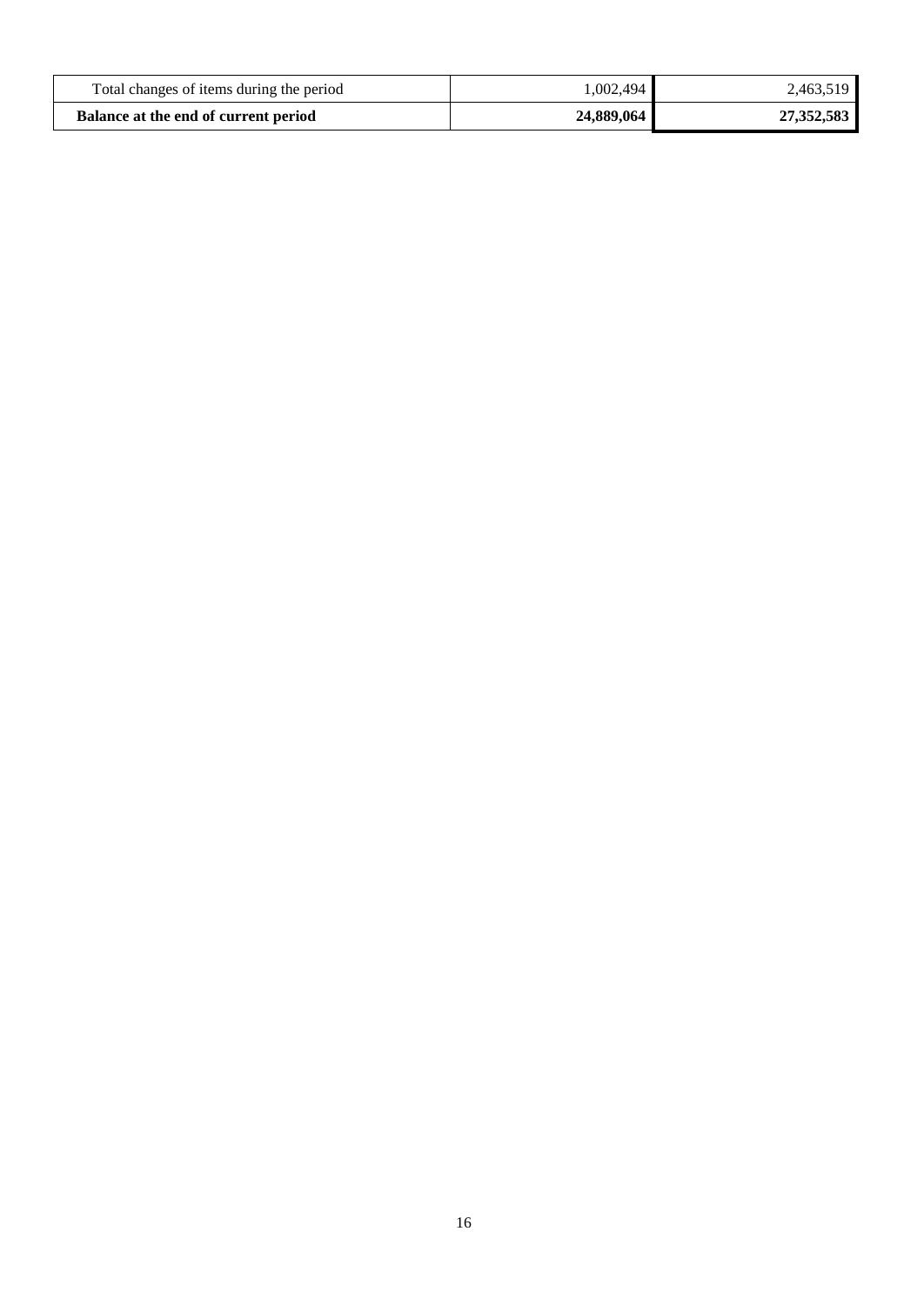| Total changes of items during the period | 1,002,494  | 2,463,519  |
|------------------------------------------|------------|------------|
| Balance at the end of current period     | 24,889,064 | 27,352,583 |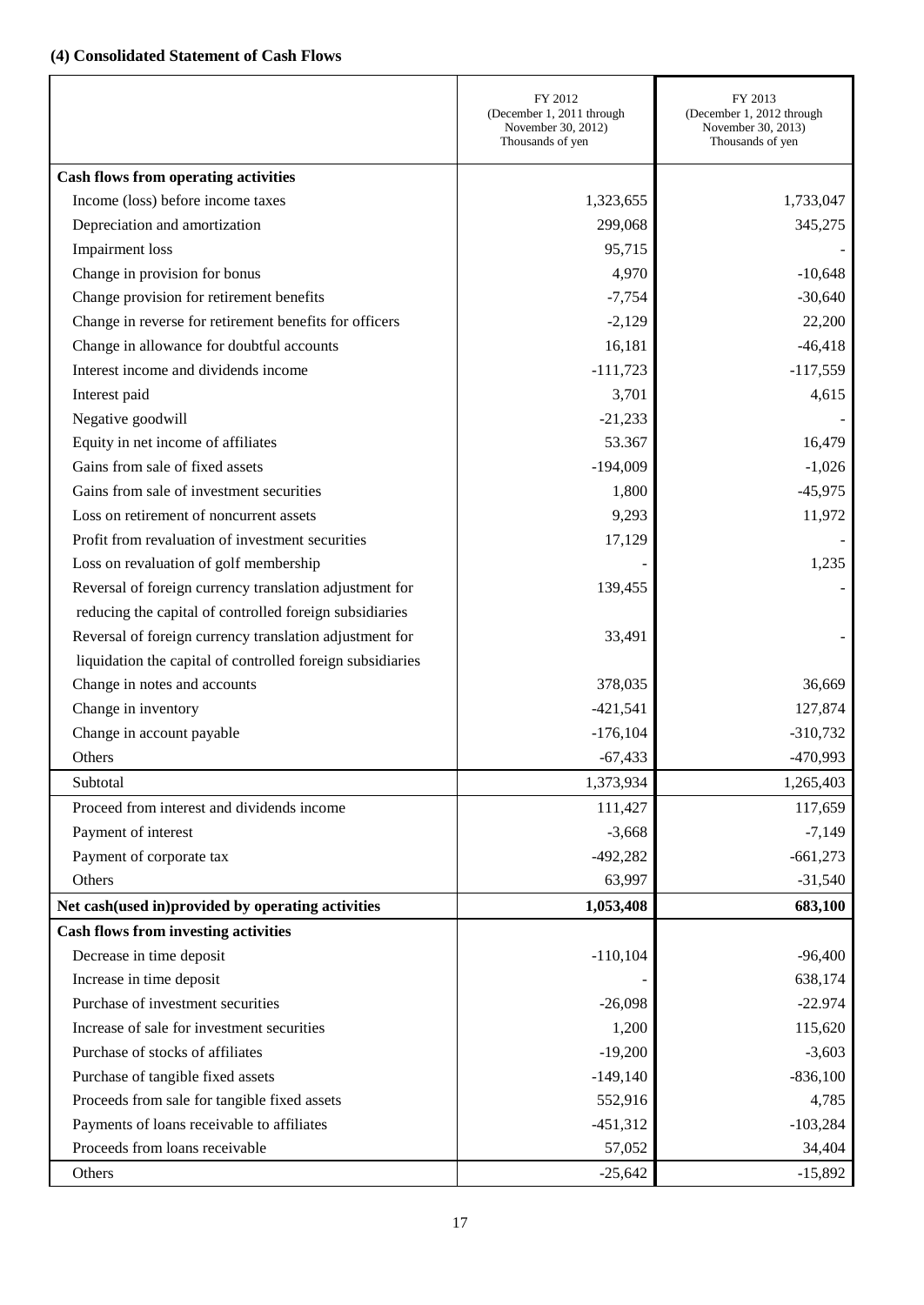# <span id="page-18-0"></span>**(4) Consolidated Statement of Cash Flows**

|                                                            | FY 2012<br>(December 1, 2011 through<br>November 30, 2012)<br>Thousands of yen | FY 2013<br>(December 1, 2012 through<br>November 30, 2013)<br>Thousands of yen |
|------------------------------------------------------------|--------------------------------------------------------------------------------|--------------------------------------------------------------------------------|
| <b>Cash flows from operating activities</b>                |                                                                                |                                                                                |
| Income (loss) before income taxes                          | 1,323,655                                                                      | 1,733,047                                                                      |
| Depreciation and amortization                              | 299,068                                                                        | 345,275                                                                        |
| Impairment loss                                            | 95,715                                                                         |                                                                                |
| Change in provision for bonus                              | 4,970                                                                          | $-10,648$                                                                      |
| Change provision for retirement benefits                   | $-7,754$                                                                       | $-30,640$                                                                      |
| Change in reverse for retirement benefits for officers     | $-2,129$                                                                       | 22,200                                                                         |
| Change in allowance for doubtful accounts                  | 16,181                                                                         | $-46,418$                                                                      |
| Interest income and dividends income                       | $-111,723$                                                                     | $-117,559$                                                                     |
| Interest paid                                              | 3,701                                                                          | 4,615                                                                          |
| Negative goodwill                                          | $-21,233$                                                                      |                                                                                |
| Equity in net income of affiliates                         | 53.367                                                                         | 16,479                                                                         |
| Gains from sale of fixed assets                            | $-194,009$                                                                     | $-1,026$                                                                       |
| Gains from sale of investment securities                   | 1,800                                                                          | $-45,975$                                                                      |
| Loss on retirement of noncurrent assets                    | 9,293                                                                          | 11,972                                                                         |
| Profit from revaluation of investment securities           | 17,129                                                                         |                                                                                |
| Loss on revaluation of golf membership                     |                                                                                | 1,235                                                                          |
| Reversal of foreign currency translation adjustment for    | 139,455                                                                        |                                                                                |
| reducing the capital of controlled foreign subsidiaries    |                                                                                |                                                                                |
| Reversal of foreign currency translation adjustment for    | 33,491                                                                         |                                                                                |
| liquidation the capital of controlled foreign subsidiaries |                                                                                |                                                                                |
| Change in notes and accounts                               | 378,035                                                                        | 36,669                                                                         |
| Change in inventory                                        | $-421,541$                                                                     | 127,874                                                                        |
| Change in account payable                                  | $-176,104$                                                                     | $-310,732$                                                                     |
| Others                                                     | $-67,433$                                                                      | $-470,993$                                                                     |
| Subtotal                                                   | 1,373,934                                                                      | 1,265,403                                                                      |
| Proceed from interest and dividends income                 | 111,427                                                                        | 117,659                                                                        |
| Payment of interest                                        | $-3,668$                                                                       | $-7,149$                                                                       |
| Payment of corporate tax                                   | $-492,282$                                                                     | $-661,273$                                                                     |
| Others                                                     | 63,997                                                                         | $-31,540$                                                                      |
| Net cash(used in)provided by operating activities          | 1,053,408                                                                      | 683,100                                                                        |
| <b>Cash flows from investing activities</b>                |                                                                                |                                                                                |
| Decrease in time deposit                                   | $-110,104$                                                                     | $-96,400$                                                                      |
| Increase in time deposit                                   |                                                                                | 638,174                                                                        |
| Purchase of investment securities                          | $-26,098$                                                                      | $-22.974$                                                                      |
| Increase of sale for investment securities                 | 1,200                                                                          | 115,620                                                                        |
| Purchase of stocks of affiliates                           | $-19,200$                                                                      | $-3,603$                                                                       |
| Purchase of tangible fixed assets                          | $-149,140$                                                                     | $-836,100$                                                                     |
| Proceeds from sale for tangible fixed assets               | 552,916                                                                        | 4,785                                                                          |
| Payments of loans receivable to affiliates                 | $-451,312$                                                                     | $-103,284$                                                                     |
| Proceeds from loans receivable                             | 57,052                                                                         | 34,404                                                                         |
| Others                                                     | $-25,642$                                                                      | $-15,892$                                                                      |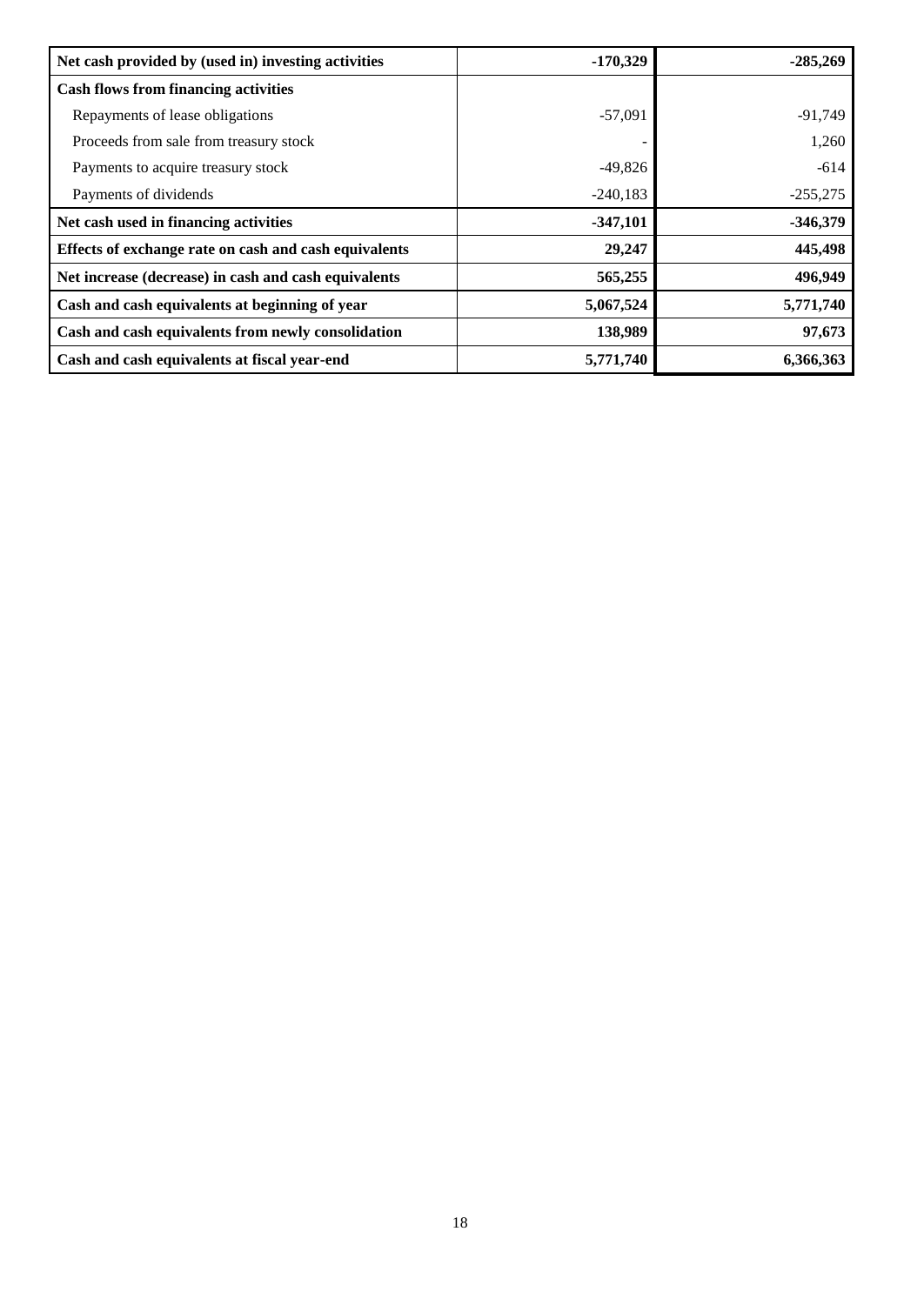| Net cash provided by (used in) investing activities   | $-170,329$ | $-285,269$ |
|-------------------------------------------------------|------------|------------|
| <b>Cash flows from financing activities</b>           |            |            |
| Repayments of lease obligations                       | $-57,091$  | $-91,749$  |
| Proceeds from sale from treasury stock                |            | 1,260      |
| Payments to acquire treasury stock                    | $-49,826$  | $-614$     |
| Payments of dividends                                 | $-240,183$ | $-255,275$ |
| Net cash used in financing activities                 | $-347,101$ | $-346,379$ |
| Effects of exchange rate on cash and cash equivalents | 29,247     | 445,498    |
| Net increase (decrease) in cash and cash equivalents  | 565,255    | 496,949    |
| Cash and cash equivalents at beginning of year        | 5,067,524  | 5,771,740  |
| Cash and cash equivalents from newly consolidation    | 138,989    | 97,673     |
| Cash and cash equivalents at fiscal year-end          | 5,771,740  | 6,366,363  |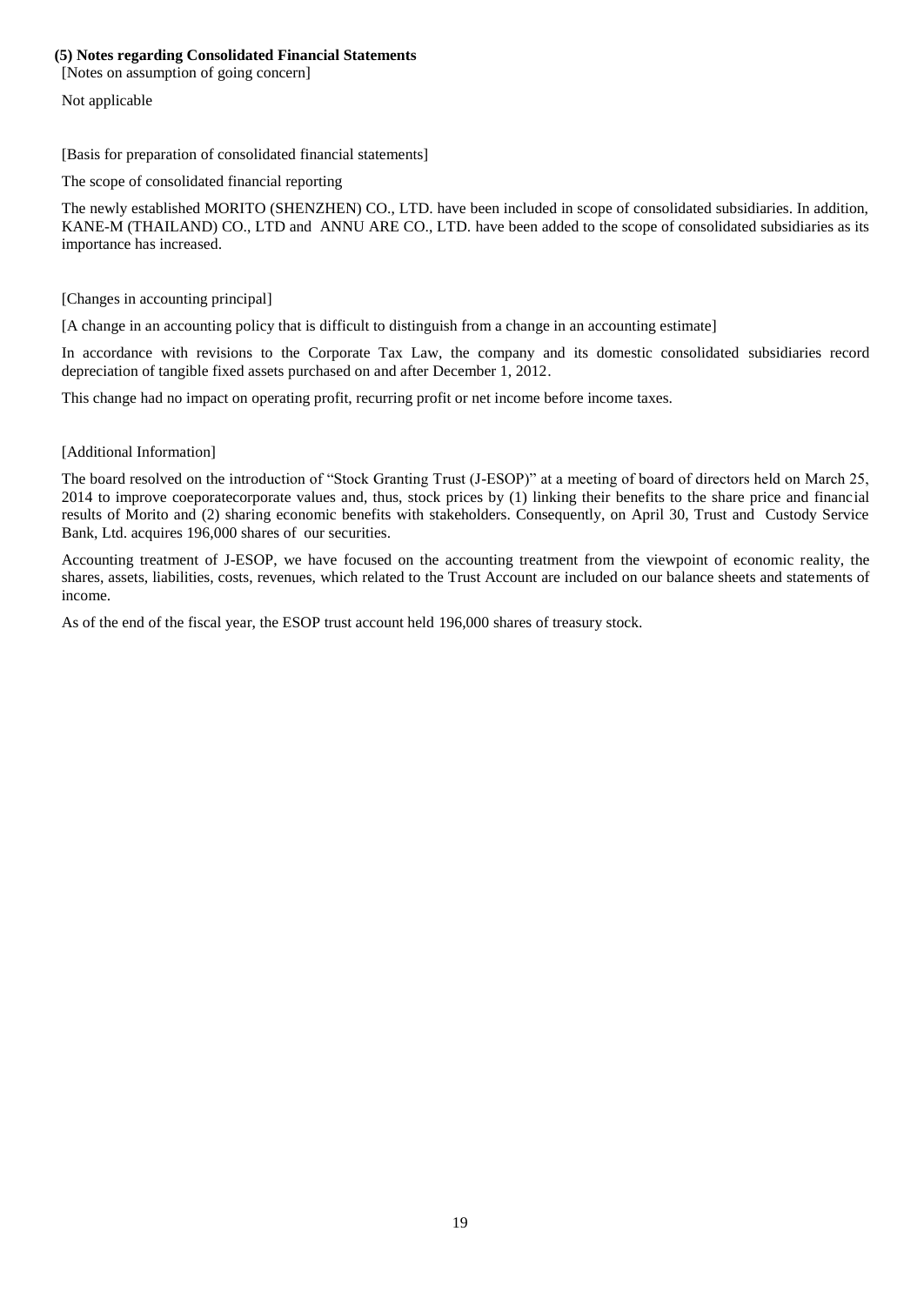#### **(5) Notes regarding Consolidated Financial Statements**

<span id="page-20-0"></span>[Notes on assumption of going concern]

Not applicable

<span id="page-20-1"></span>[Basis for preparation of consolidated financial statements]

The scope of consolidated financial reporting

The newly established MORITO (SHENZHEN) CO., LTD. have been included in scope of consolidated subsidiaries. In addition, KANE-M (THAILAND) CO., LTD and ANNU ARE CO., LTD. have been added to the scope of consolidated subsidiaries as its importance has increased.

#### <span id="page-20-2"></span>[Changes in accounting principal]

[A change in an accounting policy that is difficult to distinguish from a change in an accounting estimate]

In accordance with revisions to the Corporate Tax Law, the company and its domestic consolidated subsidiaries record depreciation of tangible fixed assets purchased on and after December 1, 2012.

This change had no impact on operating profit, recurring profit or net income before income taxes.

#### <span id="page-20-3"></span>[Additional Information]

The board resolved on the introduction of "Stock Granting Trust (J-ESOP)" at a meeting of board of directors held on March 25, 2014 to improve coeporatecorporate values and, thus, stock prices by (1) linking their benefits to the share price and financial results of Morito and (2) sharing economic benefits with stakeholders. Consequently, on April 30, Trust and Custody Service Bank, Ltd. acquires 196,000 shares of our securities.

Accounting treatment of J-ESOP, we have focused on the accounting treatment from the viewpoint of economic reality, the shares, assets, liabilities, costs, revenues, which related to the Trust Account are included on our balance sheets and statements of income.

As of the end of the fiscal year, the ESOP trust account held 196,000 shares of treasury stock.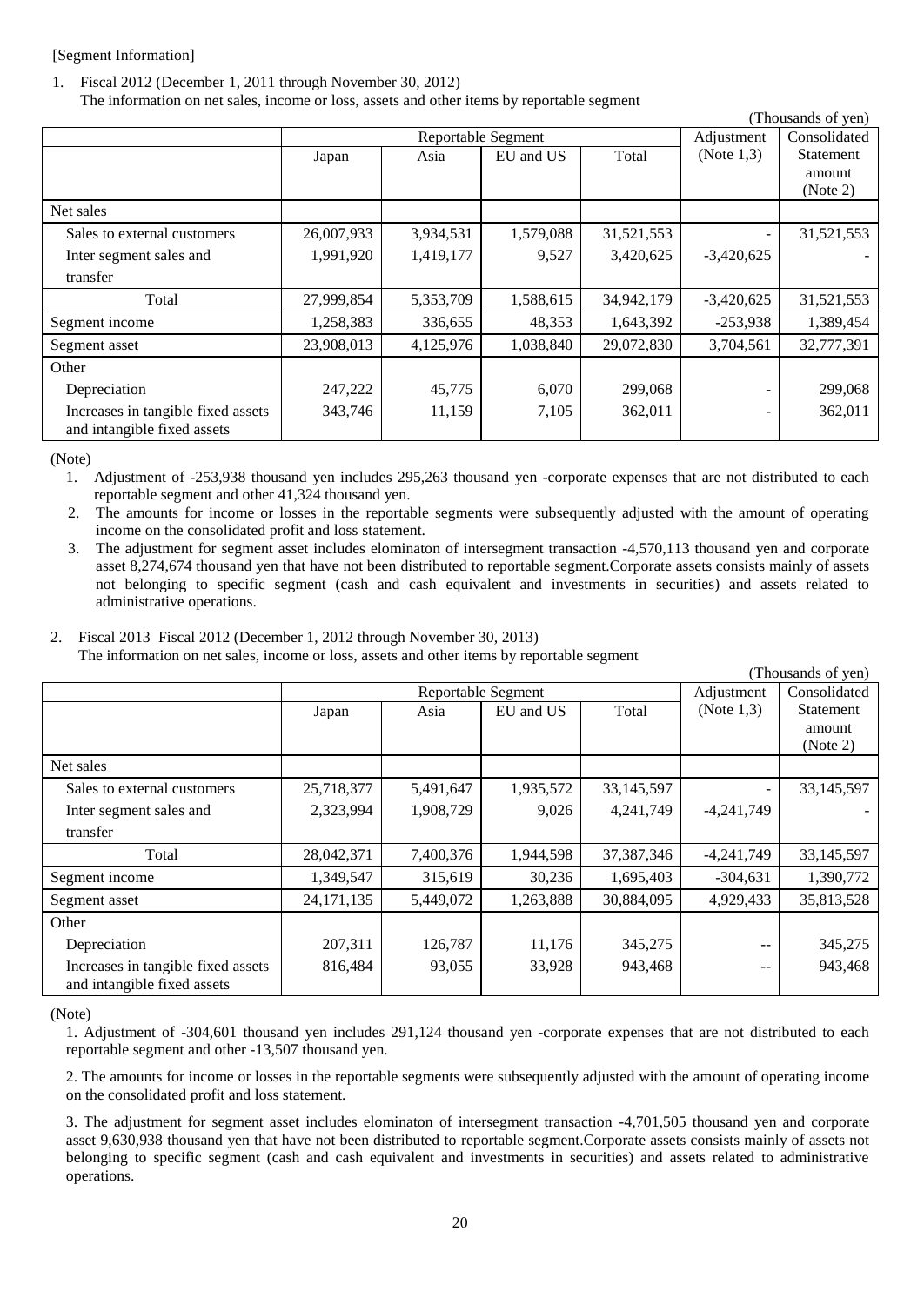## [Segment Information]

1. Fiscal 2012 (December 1, 2011 through November 30, 2012) The information on net sales, income or loss, assets and other items by reportable segment

|                                    |            |                    |           |            |               | (Thousands of yen) |
|------------------------------------|------------|--------------------|-----------|------------|---------------|--------------------|
|                                    |            | Reportable Segment |           |            | Adjustment    | Consolidated       |
|                                    | Japan      | Asia               | EU and US | Total      | (Note $1,3$ ) | Statement          |
|                                    |            |                    |           |            |               | amount             |
|                                    |            |                    |           |            |               | (Note 2)           |
| Net sales                          |            |                    |           |            |               |                    |
| Sales to external customers        | 26,007,933 | 3,934,531          | 1,579,088 | 31,521,553 |               | 31,521,553         |
| Inter segment sales and            | 1,991,920  | 1,419,177          | 9,527     | 3,420,625  | $-3,420,625$  |                    |
| transfer                           |            |                    |           |            |               |                    |
| Total                              | 27,999,854 | 5,353,709          | 1,588,615 | 34,942,179 | $-3,420,625$  | 31,521,553         |
| Segment income                     | 1,258,383  | 336,655            | 48,353    | 1,643,392  | $-253,938$    | 1,389,454          |
| Segment asset                      | 23,908,013 | 4,125,976          | 1,038,840 | 29,072,830 | 3,704,561     | 32,777,391         |
| Other                              |            |                    |           |            |               |                    |
| Depreciation                       | 247,222    | 45,775             | 6,070     | 299,068    |               | 299,068            |
| Increases in tangible fixed assets | 343,746    | 11,159             | 7,105     | 362,011    |               | 362,011            |
| and intangible fixed assets        |            |                    |           |            |               |                    |

(Note)

1. Adjustment of -253,938 thousand yen includes 295,263 thousand yen -corporate expenses that are not distributed to each reportable segment and other 41,324 thousand yen.

2. The amounts for income or losses in the reportable segments were subsequently adjusted with the amount of operating income on the consolidated profit and loss statement.

3. The adjustment for segment asset includes elominaton of intersegment transaction -4,570,113 thousand yen and corporate asset 8,274,674 thousand yen that have not been distributed to reportable segment.Corporate assets consists mainly of assets not belonging to specific segment (cash and cash equivalent and investments in securities) and assets related to administrative operations.

#### 2. Fiscal 2013 Fiscal 2012 (December 1, 2012 through November 30, 2013) The information on net sales, income or loss, assets and other items by reportable segment

|                                    |              |                    |           |            |                   | (Thousands of yen) |
|------------------------------------|--------------|--------------------|-----------|------------|-------------------|--------------------|
|                                    |              | Reportable Segment |           |            | Adjustment        | Consolidated       |
|                                    | Japan        | Asia               | EU and US | Total      | (Note $1,3$ )     | Statement          |
|                                    |              |                    |           |            |                   | amount             |
|                                    |              |                    |           |            |                   | (Note 2)           |
| Net sales                          |              |                    |           |            |                   |                    |
| Sales to external customers        | 25,718,377   | 5,491,647          | 1,935,572 | 33,145,597 |                   | 33,145,597         |
| Inter segment sales and            | 2,323,994    | 1,908,729          | 9,026     | 4,241,749  | $-4,241,749$      |                    |
| transfer                           |              |                    |           |            |                   |                    |
| Total                              | 28,042,371   | 7,400,376          | 1,944,598 | 37,387,346 | $-4,241,749$      | 33,145,597         |
| Segment income                     | 1,349,547    | 315,619            | 30,236    | 1,695,403  | $-304,631$        | 1,390,772          |
| Segment asset                      | 24, 171, 135 | 5,449,072          | 1,263,888 | 30,884,095 | 4,929,433         | 35,813,528         |
| Other                              |              |                    |           |            |                   |                    |
| Depreciation                       | 207,311      | 126,787            | 11,176    | 345,275    | $- -$             | 345,275            |
| Increases in tangible fixed assets | 816,484      | 93,055             | 33,928    | 943,468    | $\qquad \qquad -$ | 943,468            |
| and intangible fixed assets        |              |                    |           |            |                   |                    |

(Note)

1. Adjustment of -304,601 thousand yen includes 291,124 thousand yen -corporate expenses that are not distributed to each reportable segment and other -13,507 thousand yen.

2. The amounts for income or losses in the reportable segments were subsequently adjusted with the amount of operating income on the consolidated profit and loss statement.

3. The adjustment for segment asset includes elominaton of intersegment transaction -4,701,505 thousand yen and corporate asset 9,630,938 thousand yen that have not been distributed to reportable segment.Corporate assets consists mainly of assets not belonging to specific segment (cash and cash equivalent and investments in securities) and assets related to administrative operations.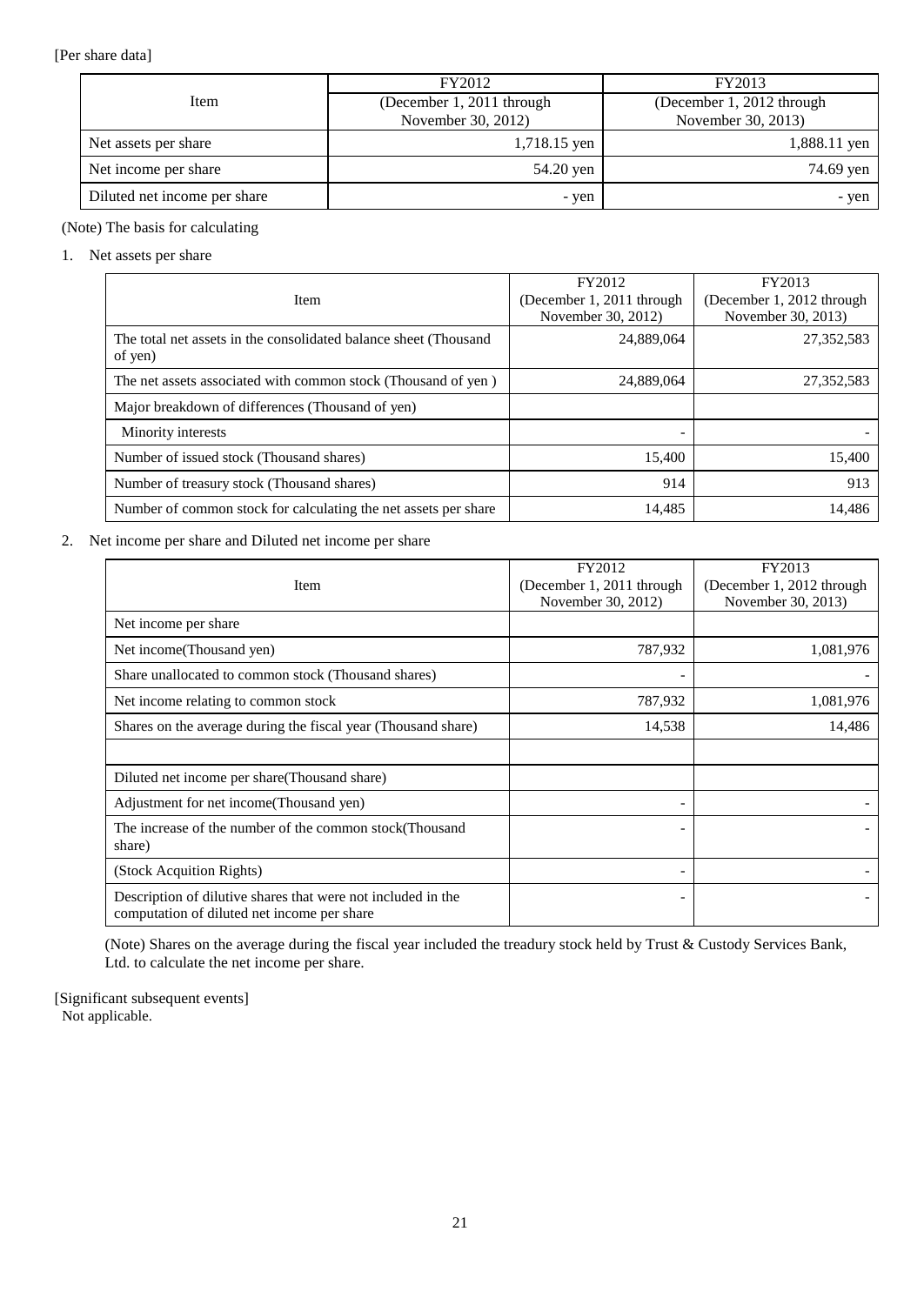## [Per share data]

|                              | FY2012                    | FY2013                    |
|------------------------------|---------------------------|---------------------------|
| Item                         | (December 1, 2011 through | (December 1, 2012 through |
|                              | November 30, 2012)        | November 30, 2013)        |
| Net assets per share         | 1,718.15 yen              | 1,888.11 yen              |
| Net income per share         | 54.20 yen                 | 74.69 yen                 |
| Diluted net income per share | - yen                     | - yen                     |

## (Note) The basis for calculating

#### 1. Net assets per share

| Item                                                                        | FY2012<br>(December 1, 2011 through | FY2013<br>(December 1, 2012 through |
|-----------------------------------------------------------------------------|-------------------------------------|-------------------------------------|
|                                                                             | November 30, 2012)                  | November 30, 2013)                  |
| The total net assets in the consolidated balance sheet (Thousand<br>of yen) | 24,889,064                          | 27,352,583                          |
| The net assets associated with common stock (Thousand of yen)               | 24,889,064                          | 27,352,583                          |
| Major breakdown of differences (Thousand of yen)                            |                                     |                                     |
| Minority interests                                                          |                                     |                                     |
| Number of issued stock (Thousand shares)                                    | 15,400                              | 15,400                              |
| Number of treasury stock (Thousand shares)                                  | 914                                 | 913                                 |
| Number of common stock for calculating the net assets per share             | 14,485                              | 14.486                              |

## 2. Net income per share and Diluted net income per share

|                                                                                                             | FY2012                    | FY2013                    |
|-------------------------------------------------------------------------------------------------------------|---------------------------|---------------------------|
| Item                                                                                                        | (December 1, 2011 through | (December 1, 2012 through |
|                                                                                                             | November 30, 2012)        | November 30, 2013)        |
| Net income per share                                                                                        |                           |                           |
| Net income(Thousand yen)                                                                                    | 787,932                   | 1,081,976                 |
| Share unallocated to common stock (Thousand shares)                                                         |                           |                           |
| Net income relating to common stock                                                                         | 787,932                   | 1,081,976                 |
| Shares on the average during the fiscal year (Thousand share)                                               | 14,538                    | 14,486                    |
|                                                                                                             |                           |                           |
| Diluted net income per share(Thousand share)                                                                |                           |                           |
| Adjustment for net income (Thousand yen)                                                                    |                           |                           |
| The increase of the number of the common stock (Thousand                                                    |                           |                           |
| share)                                                                                                      |                           |                           |
| (Stock Acquition Rights)                                                                                    | -                         |                           |
| Description of dilutive shares that were not included in the<br>computation of diluted net income per share |                           |                           |

(Note) Shares on the average during the fiscal year included the treadury stock held by Trust & Custody Services Bank, Ltd. to calculate the net income per share.

[Significant subsequent events] Not applicable.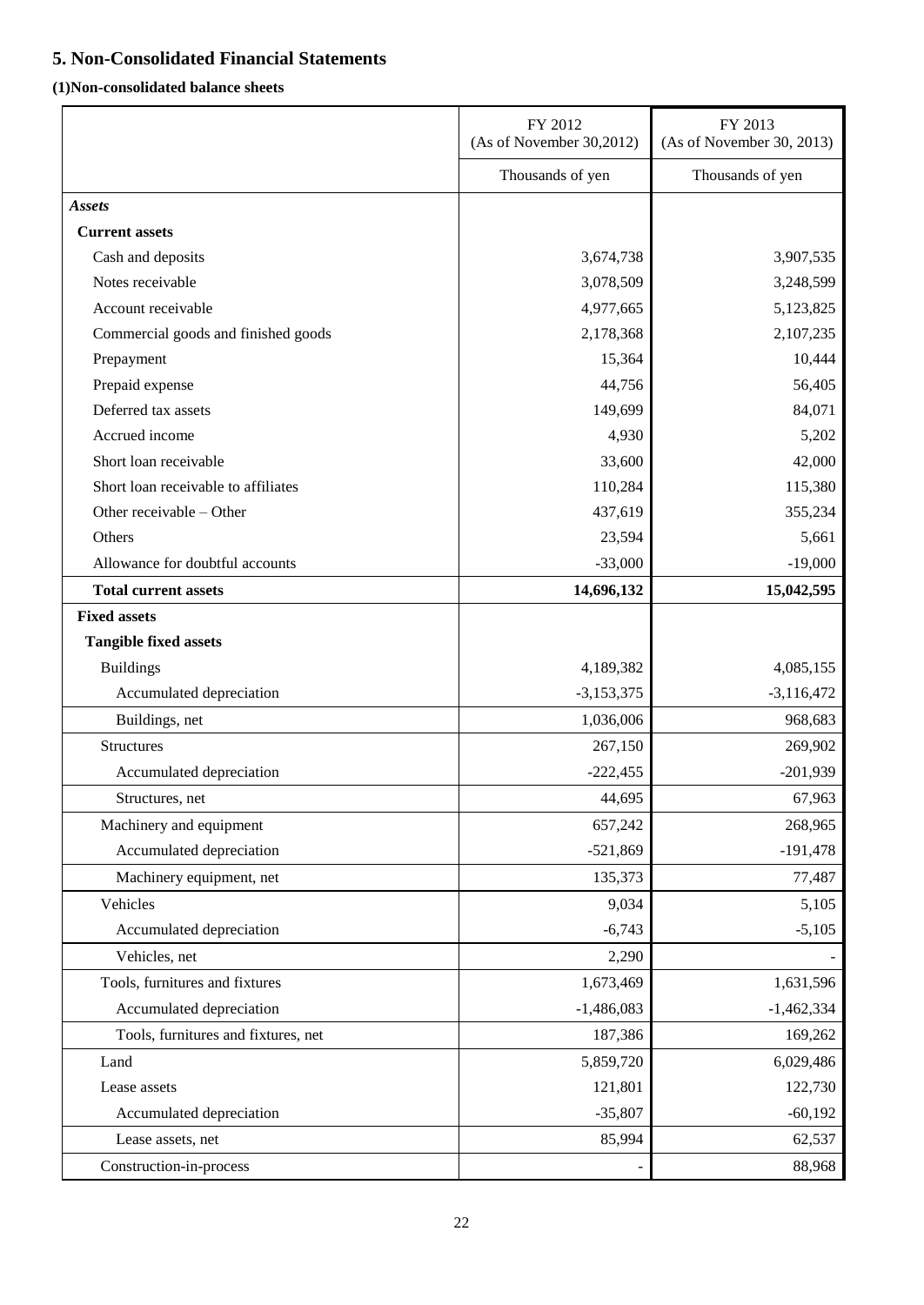## <span id="page-23-0"></span>**5. Non-Consolidated Financial Statements**

## <span id="page-23-1"></span>**(1)Non-consolidated balance sheets**

|                                     | FY 2012<br>(As of November 30,2012) | FY 2013<br>(As of November 30, 2013) |
|-------------------------------------|-------------------------------------|--------------------------------------|
|                                     | Thousands of yen                    | Thousands of yen                     |
| <b>Assets</b>                       |                                     |                                      |
| <b>Current assets</b>               |                                     |                                      |
| Cash and deposits                   | 3,674,738                           | 3,907,535                            |
| Notes receivable                    | 3,078,509                           | 3,248,599                            |
| Account receivable                  | 4,977,665                           | 5,123,825                            |
| Commercial goods and finished goods | 2,178,368                           | 2,107,235                            |
| Prepayment                          | 15,364                              | 10,444                               |
| Prepaid expense                     | 44,756                              | 56,405                               |
| Deferred tax assets                 | 149,699                             | 84,071                               |
| Accrued income                      | 4,930                               | 5,202                                |
| Short loan receivable               | 33,600                              | 42,000                               |
| Short loan receivable to affiliates | 110,284                             | 115,380                              |
| Other receivable - Other            | 437,619                             | 355,234                              |
| Others                              | 23,594                              | 5,661                                |
| Allowance for doubtful accounts     | $-33,000$                           | $-19,000$                            |
| <b>Total current assets</b>         | 14,696,132                          | 15,042,595                           |
| <b>Fixed assets</b>                 |                                     |                                      |
| <b>Tangible fixed assets</b>        |                                     |                                      |
| <b>Buildings</b>                    | 4,189,382                           | 4,085,155                            |
| Accumulated depreciation            | $-3,153,375$                        | $-3,116,472$                         |
| Buildings, net                      | 1,036,006                           | 968,683                              |
| <b>Structures</b>                   | 267,150                             | 269,902                              |
| Accumulated depreciation            | $-222,455$                          | $-201,939$                           |
| Structures, net                     | 44,695                              | 67,963                               |
| Machinery and equipment             | 657,242                             | 268,965                              |
| Accumulated depreciation            | $-521,869$                          | $-191,478$                           |
| Machinery equipment, net            | 135,373                             | 77,487                               |
| Vehicles                            | 9,034                               | 5,105                                |
| Accumulated depreciation            | $-6,743$                            | $-5,105$                             |
| Vehicles, net                       | 2,290                               |                                      |
| Tools, furnitures and fixtures      | 1,673,469                           | 1,631,596                            |
| Accumulated depreciation            | $-1,486,083$                        | $-1,462,334$                         |
| Tools, furnitures and fixtures, net | 187,386                             | 169,262                              |
| Land                                | 5,859,720                           | 6,029,486                            |
| Lease assets                        | 121,801                             | 122,730                              |
| Accumulated depreciation            | $-35,807$                           | $-60,192$                            |
| Lease assets, net                   | 85,994                              | 62,537                               |
| Construction-in-process             |                                     | 88,968                               |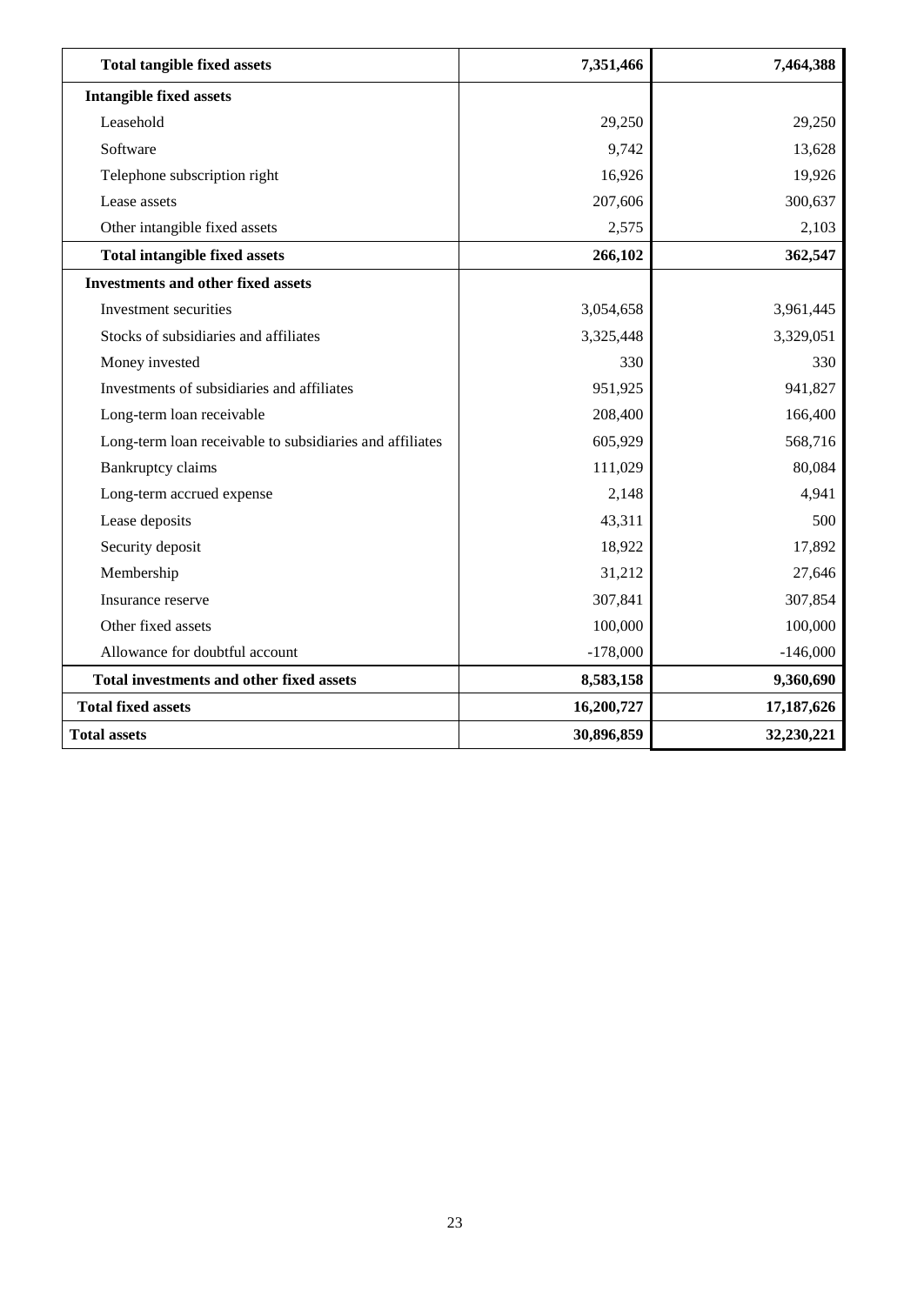| <b>Total tangible fixed assets</b>                       | 7,351,466  | 7,464,388  |
|----------------------------------------------------------|------------|------------|
| <b>Intangible fixed assets</b>                           |            |            |
| Leasehold                                                | 29,250     | 29,250     |
| Software                                                 | 9,742      | 13,628     |
| Telephone subscription right                             | 16,926     | 19,926     |
| Lease assets                                             | 207,606    | 300,637    |
| Other intangible fixed assets                            | 2,575      | 2,103      |
| <b>Total intangible fixed assets</b>                     | 266,102    | 362,547    |
| <b>Investments and other fixed assets</b>                |            |            |
| Investment securities                                    | 3,054,658  | 3,961,445  |
| Stocks of subsidiaries and affiliates                    | 3,325,448  | 3,329,051  |
| Money invested                                           | 330        | 330        |
| Investments of subsidiaries and affiliates               | 951,925    | 941,827    |
| Long-term loan receivable                                | 208,400    | 166,400    |
| Long-term loan receivable to subsidiaries and affiliates | 605,929    | 568,716    |
| <b>Bankruptcy claims</b>                                 | 111,029    | 80,084     |
| Long-term accrued expense                                | 2,148      | 4,941      |
| Lease deposits                                           | 43,311     | 500        |
| Security deposit                                         | 18,922     | 17,892     |
| Membership                                               | 31,212     | 27,646     |
| Insurance reserve                                        | 307,841    | 307,854    |
| Other fixed assets                                       | 100,000    | 100,000    |
| Allowance for doubtful account                           | $-178,000$ | $-146,000$ |
| <b>Total investments and other fixed assets</b>          | 8,583,158  | 9,360,690  |
| <b>Total fixed assets</b>                                | 16,200,727 | 17,187,626 |
| <b>Total assets</b>                                      | 30,896,859 | 32,230,221 |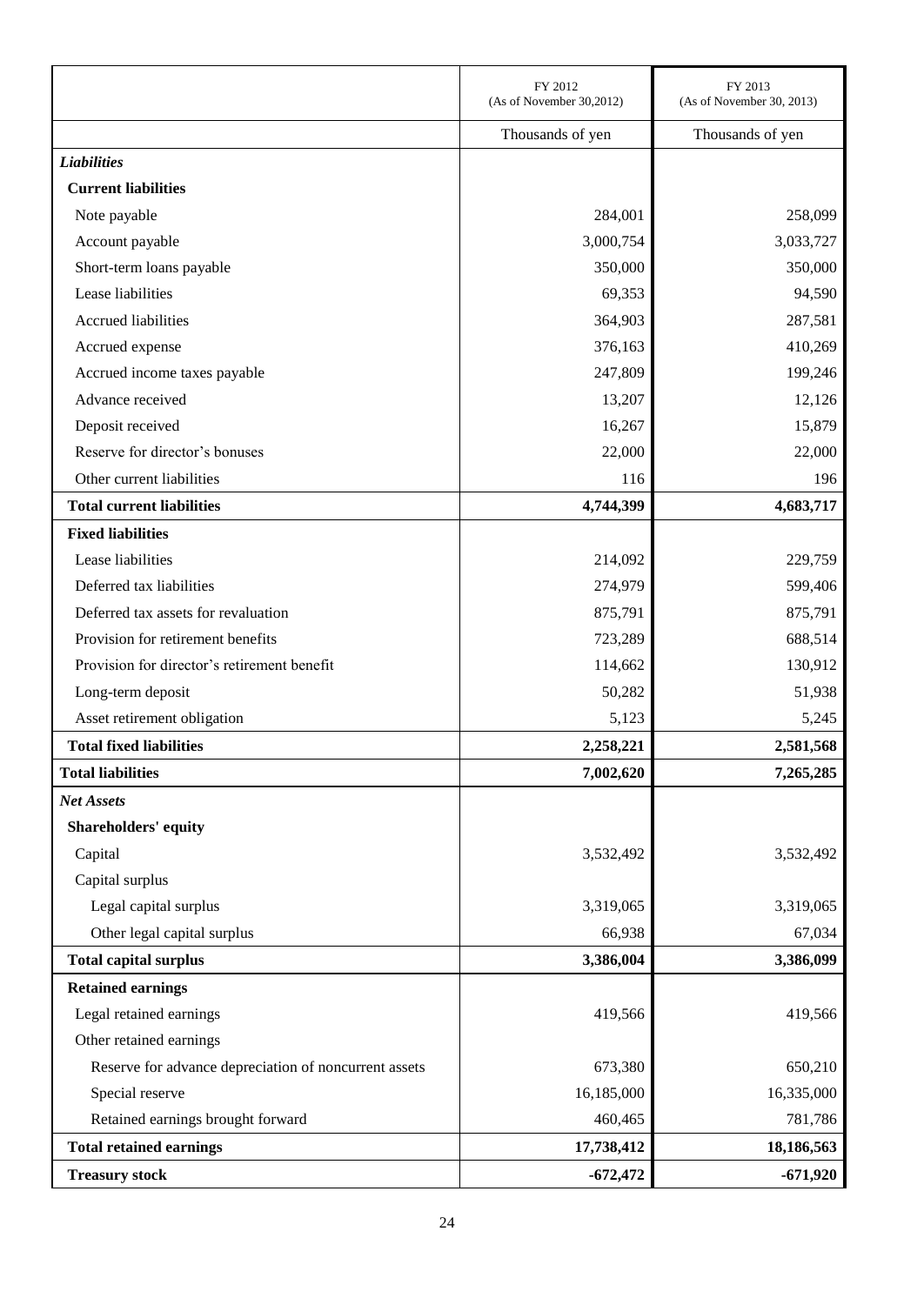|                                                       | FY 2012                  | FY 2013                   |
|-------------------------------------------------------|--------------------------|---------------------------|
|                                                       | (As of November 30,2012) | (As of November 30, 2013) |
|                                                       | Thousands of yen         | Thousands of yen          |
| <b>Liabilities</b>                                    |                          |                           |
| <b>Current liabilities</b>                            |                          |                           |
| Note payable                                          | 284,001                  | 258,099                   |
| Account payable                                       | 3,000,754                | 3,033,727                 |
| Short-term loans payable                              | 350,000                  | 350,000                   |
| Lease liabilities                                     | 69,353                   | 94,590                    |
| Accrued liabilities                                   | 364,903                  | 287,581                   |
| Accrued expense                                       | 376,163                  | 410,269                   |
| Accrued income taxes payable                          | 247,809                  | 199,246                   |
| Advance received                                      | 13,207                   | 12,126                    |
| Deposit received                                      | 16,267                   | 15,879                    |
| Reserve for director's bonuses                        | 22,000                   | 22,000                    |
| Other current liabilities                             | 116                      | 196                       |
| <b>Total current liabilities</b>                      | 4,744,399                | 4,683,717                 |
| <b>Fixed liabilities</b>                              |                          |                           |
| Lease liabilities                                     | 214,092                  | 229,759                   |
| Deferred tax liabilities                              | 274,979                  | 599,406                   |
| Deferred tax assets for revaluation                   | 875,791                  | 875,791                   |
| Provision for retirement benefits                     | 723,289                  | 688,514                   |
| Provision for director's retirement benefit           | 114,662                  | 130,912                   |
| Long-term deposit                                     | 50,282                   | 51,938                    |
| Asset retirement obligation                           | 5,123                    | 5,245                     |
| <b>Total fixed liabilities</b>                        | 2,258,221                | 2,581,568                 |
| <b>Total liabilities</b>                              | 7,002,620                | 7,265,285                 |
| <b>Net Assets</b>                                     |                          |                           |
| Shareholders' equity                                  |                          |                           |
| Capital                                               | 3,532,492                | 3,532,492                 |
| Capital surplus                                       |                          |                           |
| Legal capital surplus                                 | 3,319,065                | 3,319,065                 |
| Other legal capital surplus                           | 66,938                   | 67,034                    |
| <b>Total capital surplus</b>                          | 3,386,004                | 3,386,099                 |
| <b>Retained earnings</b>                              |                          |                           |
| Legal retained earnings                               | 419,566                  | 419,566                   |
| Other retained earnings                               |                          |                           |
| Reserve for advance depreciation of noncurrent assets | 673,380                  | 650,210                   |
| Special reserve                                       | 16,185,000               | 16,335,000                |
| Retained earnings brought forward                     | 460,465                  | 781,786                   |
| <b>Total retained earnings</b>                        | 17,738,412               | 18,186,563                |
| <b>Treasury stock</b>                                 | $-672,472$               | $-671,920$                |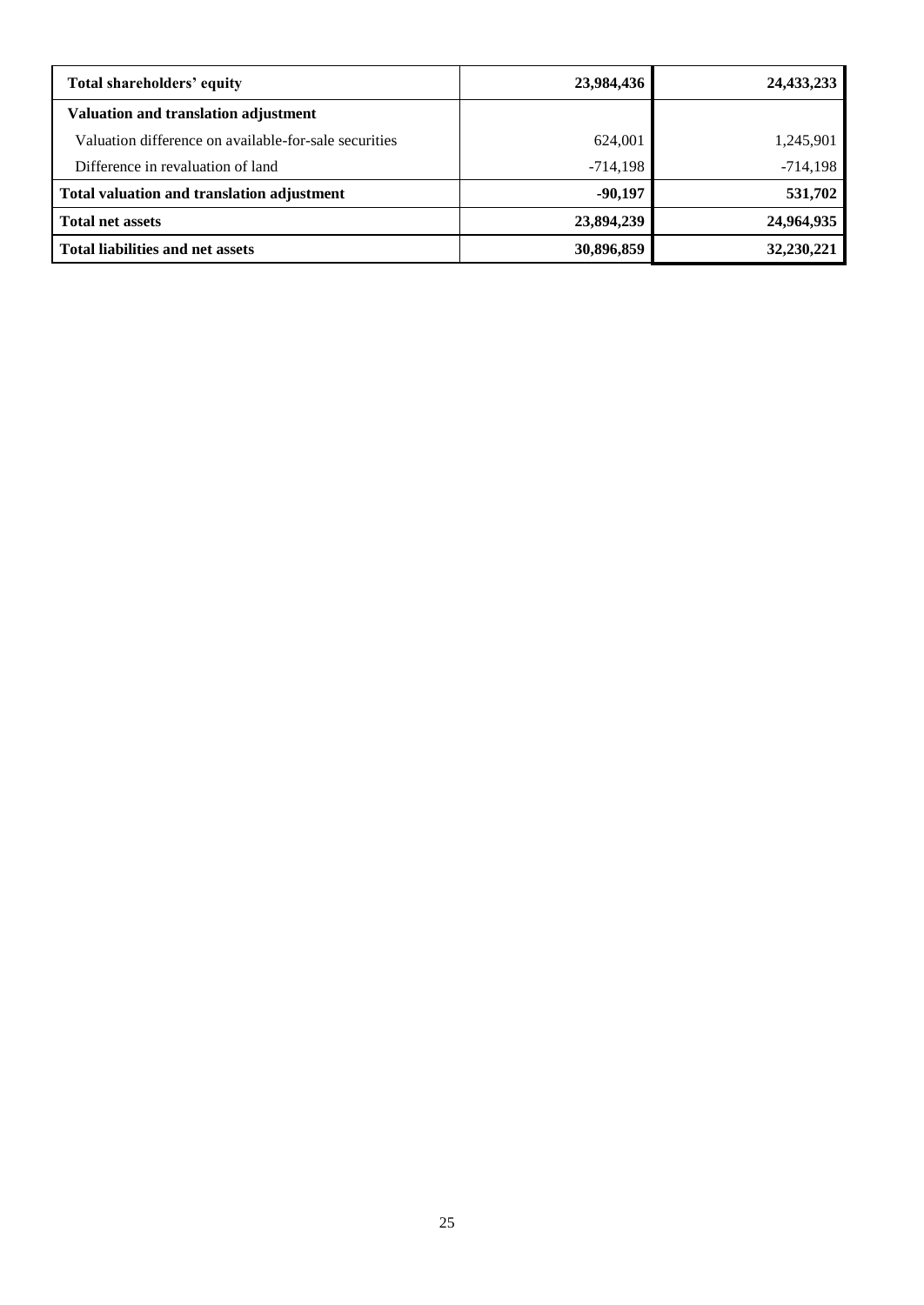| Total shareholders' equity                            | 23,984,436 | 24,433,233 |
|-------------------------------------------------------|------------|------------|
| Valuation and translation adjustment                  |            |            |
| Valuation difference on available-for-sale securities | 624,001    | 1,245,901  |
| Difference in revaluation of land                     | $-714,198$ | $-714,198$ |
| Total valuation and translation adjustment            | $-90,197$  | 531,702    |
| <b>Total net assets</b>                               | 23,894,239 | 24,964,935 |
| <b>Total liabilities and net assets</b>               | 30,896,859 | 32,230,221 |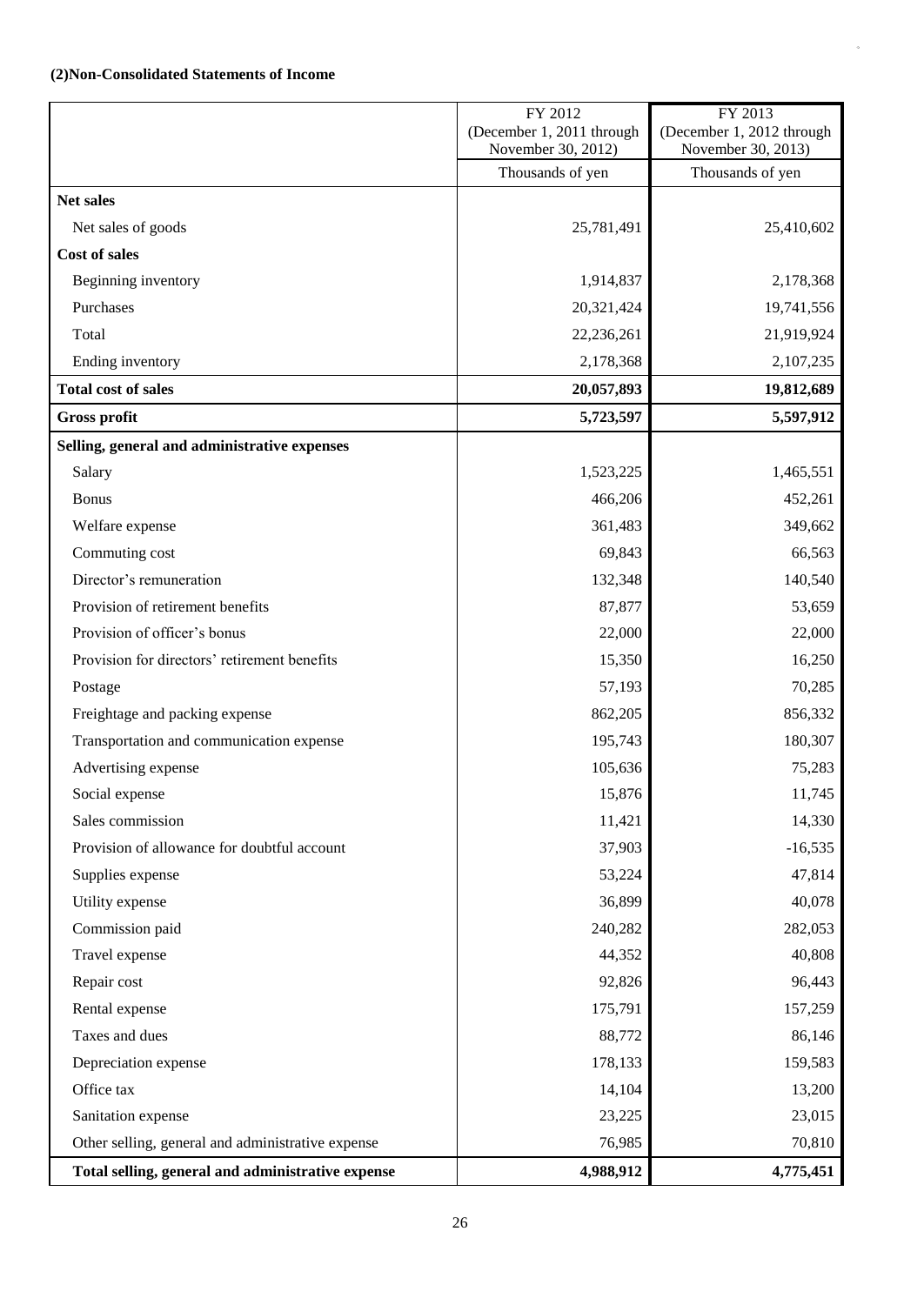## <span id="page-27-0"></span>**(2)Non-Consolidated Statements of Income**

|                                                   | FY 2012<br>(December 1, 2011 through | FY 2013<br>(December 1, 2012 through |
|---------------------------------------------------|--------------------------------------|--------------------------------------|
|                                                   | November 30, 2012)                   | November 30, 2013)                   |
|                                                   | Thousands of yen                     | Thousands of yen                     |
| <b>Net sales</b>                                  |                                      |                                      |
| Net sales of goods                                | 25,781,491                           | 25,410,602                           |
| Cost of sales                                     |                                      |                                      |
| Beginning inventory                               | 1,914,837                            | 2,178,368                            |
| Purchases                                         | 20,321,424                           | 19,741,556                           |
| Total                                             | 22,236,261                           | 21,919,924                           |
| Ending inventory                                  | 2,178,368                            | 2,107,235                            |
| <b>Total cost of sales</b>                        | 20,057,893                           | 19,812,689                           |
| <b>Gross profit</b>                               | 5,723,597                            | 5,597,912                            |
| Selling, general and administrative expenses      |                                      |                                      |
| Salary                                            | 1,523,225                            | 1,465,551                            |
| <b>Bonus</b>                                      | 466,206                              | 452,261                              |
| Welfare expense                                   | 361,483                              | 349,662                              |
| Commuting cost                                    | 69,843                               | 66,563                               |
| Director's remuneration                           | 132,348                              | 140,540                              |
| Provision of retirement benefits                  | 87,877                               | 53,659                               |
| Provision of officer's bonus                      | 22,000                               | 22,000                               |
| Provision for directors' retirement benefits      | 15,350                               | 16,250                               |
| Postage                                           | 57,193                               | 70,285                               |
| Freightage and packing expense                    | 862,205                              | 856,332                              |
| Transportation and communication expense          | 195,743                              | 180,307                              |
| Advertising expense                               | 105,636                              | 75,283                               |
| Social expense                                    | 15,876                               | 11,745                               |
| Sales commission                                  | 11,421                               | 14,330                               |
| Provision of allowance for doubtful account       | 37,903                               | $-16,535$                            |
| Supplies expense                                  | 53,224                               | 47,814                               |
| Utility expense                                   | 36,899                               | 40,078                               |
| Commission paid                                   | 240,282                              | 282,053                              |
| Travel expense                                    | 44,352                               | 40,808                               |
| Repair cost                                       | 92,826                               | 96,443                               |
| Rental expense                                    | 175,791                              | 157,259                              |
| Taxes and dues                                    | 88,772                               | 86,146                               |
| Depreciation expense                              | 178,133                              | 159,583                              |
| Office tax                                        | 14,104                               | 13,200                               |
| Sanitation expense                                | 23,225                               | 23,015                               |
| Other selling, general and administrative expense | 76,985                               | 70,810                               |
| Total selling, general and administrative expense | 4,988,912                            | 4,775,451                            |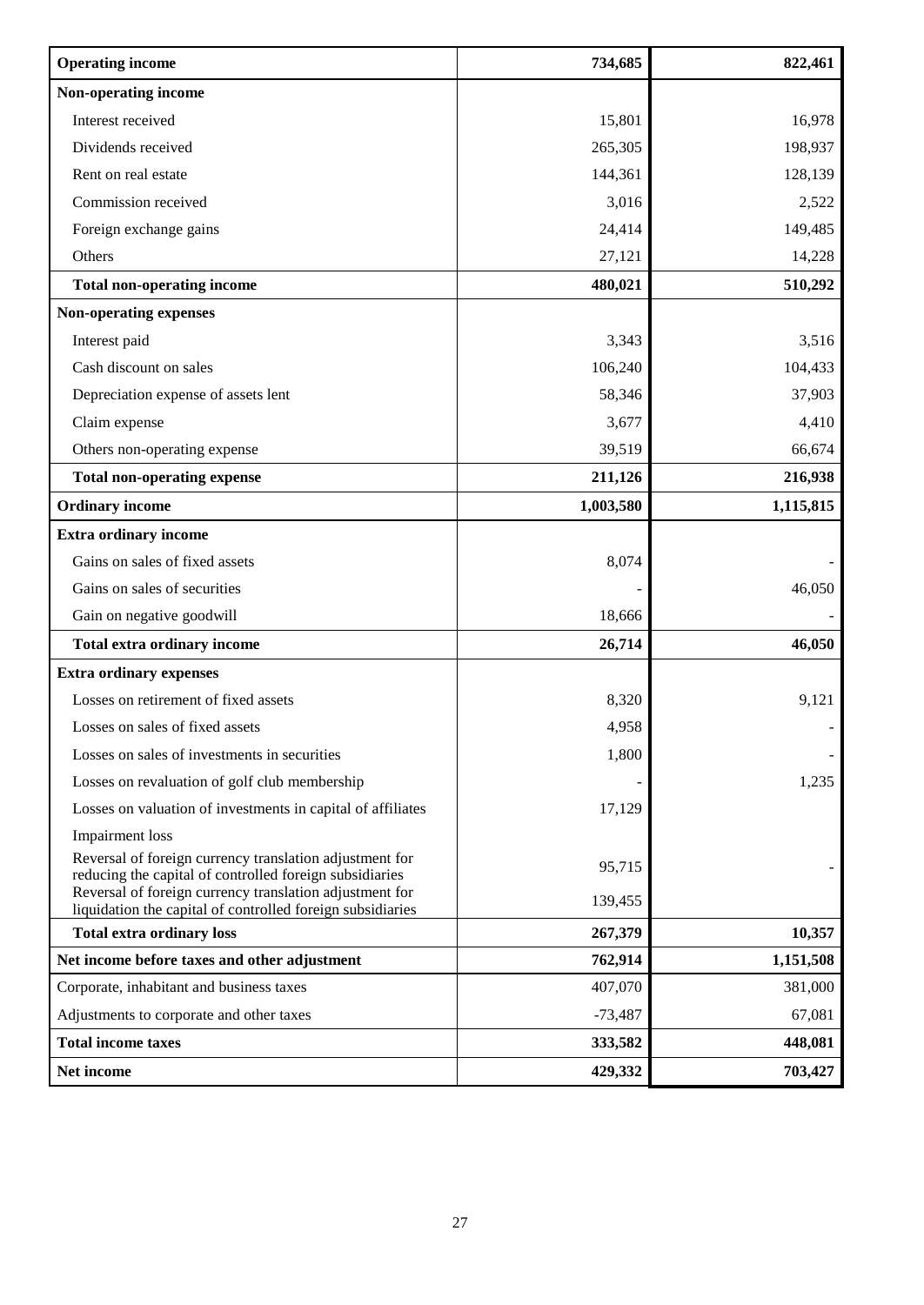| <b>Operating income</b>                                                                                               | 734,685   | 822,461   |
|-----------------------------------------------------------------------------------------------------------------------|-----------|-----------|
| Non-operating income                                                                                                  |           |           |
| Interest received                                                                                                     | 15,801    | 16,978    |
| Dividends received                                                                                                    | 265,305   | 198,937   |
| Rent on real estate                                                                                                   | 144,361   | 128,139   |
| Commission received                                                                                                   | 3,016     | 2,522     |
| Foreign exchange gains                                                                                                | 24,414    | 149,485   |
| Others                                                                                                                | 27,121    | 14,228    |
| <b>Total non-operating income</b>                                                                                     | 480,021   | 510,292   |
| <b>Non-operating expenses</b>                                                                                         |           |           |
| Interest paid                                                                                                         | 3,343     | 3,516     |
| Cash discount on sales                                                                                                | 106,240   | 104,433   |
| Depreciation expense of assets lent                                                                                   | 58,346    | 37,903    |
| Claim expense                                                                                                         | 3,677     | 4,410     |
| Others non-operating expense                                                                                          | 39,519    | 66,674    |
| <b>Total non-operating expense</b>                                                                                    | 211,126   | 216,938   |
| <b>Ordinary income</b>                                                                                                | 1,003,580 | 1,115,815 |
| <b>Extra ordinary income</b>                                                                                          |           |           |
| Gains on sales of fixed assets                                                                                        | 8,074     |           |
| Gains on sales of securities                                                                                          |           | 46,050    |
| Gain on negative goodwill                                                                                             | 18,666    |           |
| Total extra ordinary income                                                                                           | 26,714    | 46,050    |
| <b>Extra ordinary expenses</b>                                                                                        |           |           |
| Losses on retirement of fixed assets                                                                                  | 8,320     | 9,121     |
| Losses on sales of fixed assets                                                                                       | 4,958     |           |
| Losses on sales of investments in securities                                                                          | 1,800     |           |
| Losses on revaluation of golf club membership                                                                         |           | 1,235     |
| Losses on valuation of investments in capital of affiliates                                                           | 17,129    |           |
| <b>Impairment</b> loss                                                                                                |           |           |
| Reversal of foreign currency translation adjustment for<br>reducing the capital of controlled foreign subsidiaries    | 95,715    |           |
| Reversal of foreign currency translation adjustment for<br>liquidation the capital of controlled foreign subsidiaries | 139,455   |           |
| <b>Total extra ordinary loss</b>                                                                                      | 267,379   | 10,357    |
| Net income before taxes and other adjustment                                                                          | 762,914   | 1,151,508 |
| Corporate, inhabitant and business taxes                                                                              | 407,070   | 381,000   |
| Adjustments to corporate and other taxes                                                                              | $-73,487$ | 67,081    |
| <b>Total income taxes</b>                                                                                             | 333,582   | 448,081   |
| Net income                                                                                                            | 429,332   | 703,427   |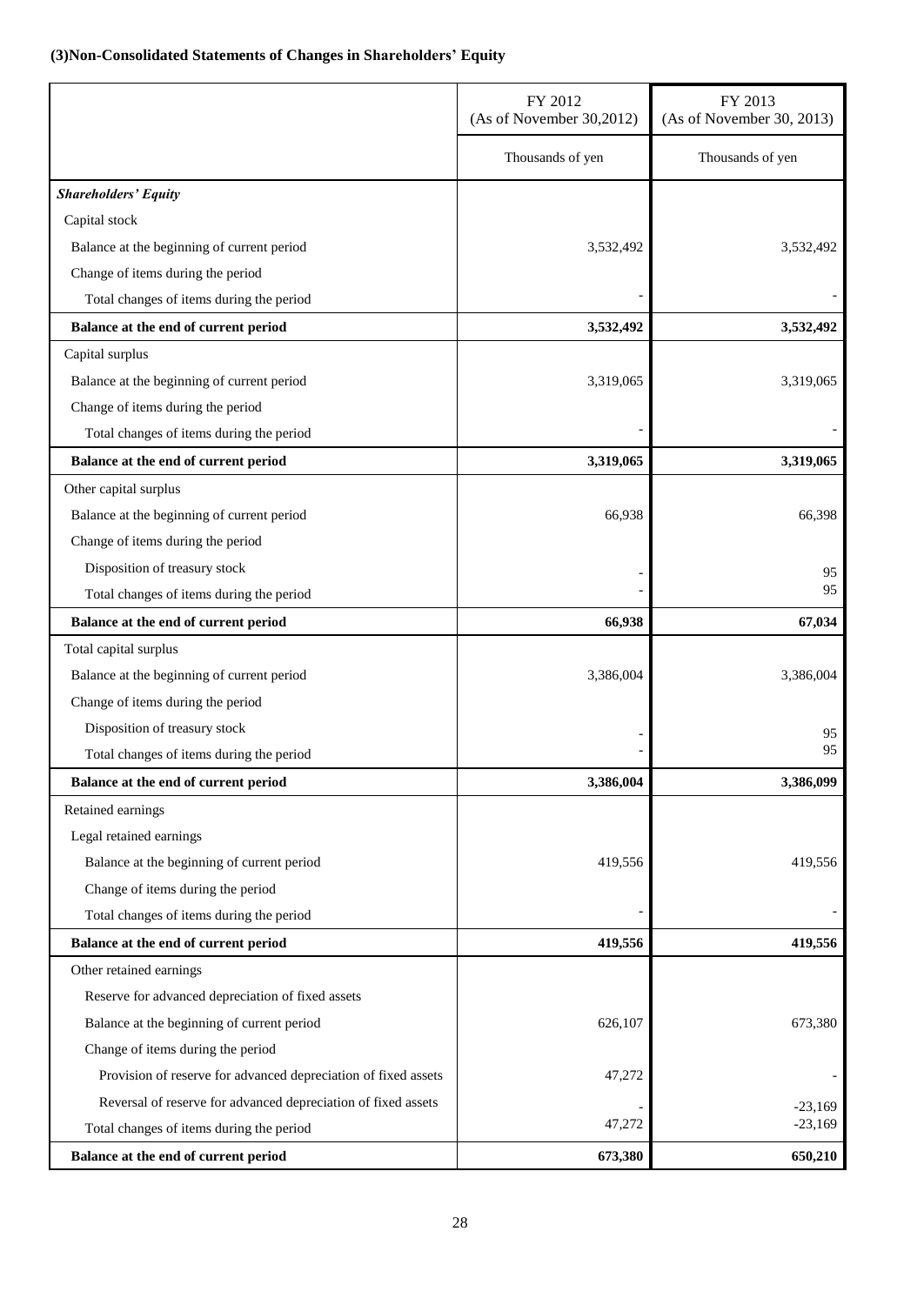# <span id="page-29-0"></span>**(3)Non-Consolidated Statements of Changes in Shareholders' Equity**

|                                                                | FY 2012<br>(As of November 30,2012) | FY 2013<br>(As of November 30, 2013) |
|----------------------------------------------------------------|-------------------------------------|--------------------------------------|
|                                                                | Thousands of yen                    | Thousands of yen                     |
| <b>Shareholders' Equity</b>                                    |                                     |                                      |
| Capital stock                                                  |                                     |                                      |
| Balance at the beginning of current period                     | 3,532,492                           | 3,532,492                            |
| Change of items during the period                              |                                     |                                      |
| Total changes of items during the period                       |                                     |                                      |
| Balance at the end of current period                           | 3,532,492                           | 3,532,492                            |
| Capital surplus                                                |                                     |                                      |
| Balance at the beginning of current period                     | 3,319,065                           | 3,319,065                            |
| Change of items during the period                              |                                     |                                      |
| Total changes of items during the period                       |                                     |                                      |
| Balance at the end of current period                           | 3,319,065                           | 3,319,065                            |
| Other capital surplus                                          |                                     |                                      |
| Balance at the beginning of current period                     | 66,938                              | 66,398                               |
| Change of items during the period                              |                                     |                                      |
| Disposition of treasury stock                                  |                                     | 95                                   |
| Total changes of items during the period                       |                                     | 95                                   |
| Balance at the end of current period                           | 66,938                              | 67,034                               |
| Total capital surplus                                          |                                     |                                      |
| Balance at the beginning of current period                     | 3,386,004                           | 3,386,004                            |
| Change of items during the period                              |                                     |                                      |
| Disposition of treasury stock                                  |                                     | 95                                   |
| Total changes of items during the period                       |                                     | 95                                   |
| Balance at the end of current period                           | 3,386,004                           | 3,386,099                            |
| Retained earnings                                              |                                     |                                      |
| Legal retained earnings                                        |                                     |                                      |
| Balance at the beginning of current period                     | 419,556                             | 419,556                              |
| Change of items during the period                              |                                     |                                      |
| Total changes of items during the period                       |                                     |                                      |
| Balance at the end of current period                           | 419,556                             | 419,556                              |
| Other retained earnings                                        |                                     |                                      |
| Reserve for advanced depreciation of fixed assets              |                                     |                                      |
| Balance at the beginning of current period                     | 626,107                             | 673,380                              |
| Change of items during the period                              |                                     |                                      |
| Provision of reserve for advanced depreciation of fixed assets | 47,272                              |                                      |
| Reversal of reserve for advanced depreciation of fixed assets  |                                     | $-23,169$                            |
| Total changes of items during the period                       | 47,272                              | $-23,169$                            |
| Balance at the end of current period                           | 673,380                             | 650,210                              |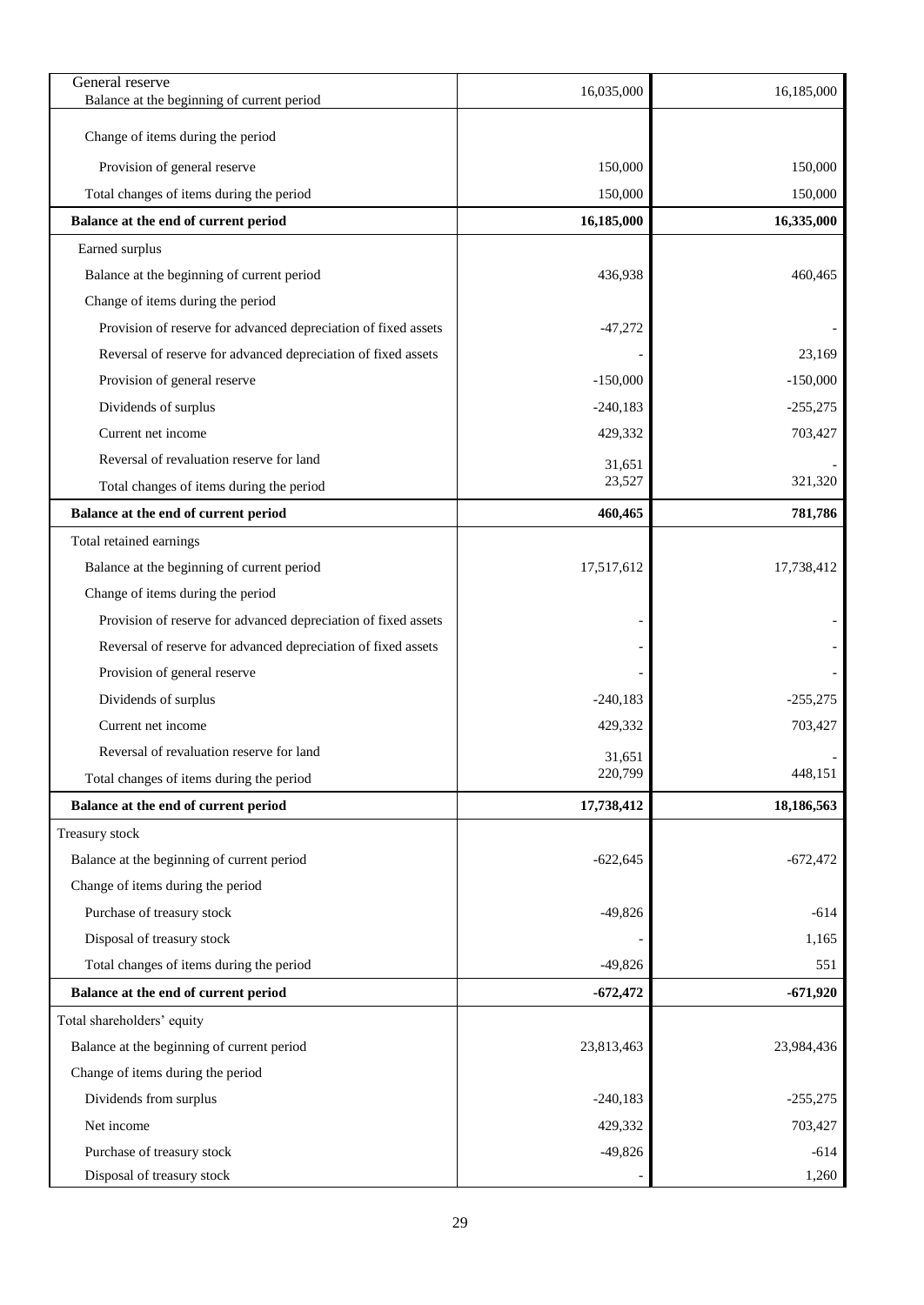| General reserve<br>Balance at the beginning of current period  | 16,035,000 | 16,185,000 |
|----------------------------------------------------------------|------------|------------|
|                                                                |            |            |
| Change of items during the period                              |            |            |
| Provision of general reserve                                   | 150,000    | 150,000    |
| Total changes of items during the period                       | 150,000    | 150,000    |
| Balance at the end of current period                           | 16,185,000 | 16,335,000 |
| Earned surplus                                                 |            |            |
| Balance at the beginning of current period                     | 436,938    | 460,465    |
| Change of items during the period                              |            |            |
| Provision of reserve for advanced depreciation of fixed assets | $-47,272$  |            |
| Reversal of reserve for advanced depreciation of fixed assets  |            | 23,169     |
| Provision of general reserve                                   | $-150,000$ | $-150,000$ |
| Dividends of surplus                                           | $-240,183$ | $-255,275$ |
| Current net income                                             | 429,332    | 703,427    |
| Reversal of revaluation reserve for land                       | 31,651     |            |
| Total changes of items during the period                       | 23,527     | 321,320    |
| Balance at the end of current period                           | 460,465    | 781,786    |
| Total retained earnings                                        |            |            |
| Balance at the beginning of current period                     | 17,517,612 | 17,738,412 |
| Change of items during the period                              |            |            |
| Provision of reserve for advanced depreciation of fixed assets |            |            |
| Reversal of reserve for advanced depreciation of fixed assets  |            |            |
| Provision of general reserve                                   |            |            |
| Dividends of surplus                                           | $-240,183$ | $-255,275$ |
| Current net income                                             | 429,332    | 703,427    |
| Reversal of revaluation reserve for land                       | 31,651     |            |
| Total changes of items during the period                       | 220,799    | 448,151    |
| Balance at the end of current period                           | 17,738,412 | 18,186,563 |
| Treasury stock                                                 |            |            |
| Balance at the beginning of current period                     | $-622,645$ | $-672,472$ |
| Change of items during the period                              |            |            |
| Purchase of treasury stock                                     | $-49,826$  | $-614$     |
| Disposal of treasury stock                                     |            | 1,165      |
| Total changes of items during the period                       | $-49,826$  | 551        |
| Balance at the end of current period                           | $-672,472$ | $-671,920$ |
| Total shareholders' equity                                     |            |            |
| Balance at the beginning of current period                     | 23,813,463 | 23,984,436 |
| Change of items during the period                              |            |            |
| Dividends from surplus                                         | $-240,183$ | $-255,275$ |
| Net income                                                     | 429,332    | 703,427    |
| Purchase of treasury stock                                     | $-49,826$  | $-614$     |
| Disposal of treasury stock                                     |            | 1,260      |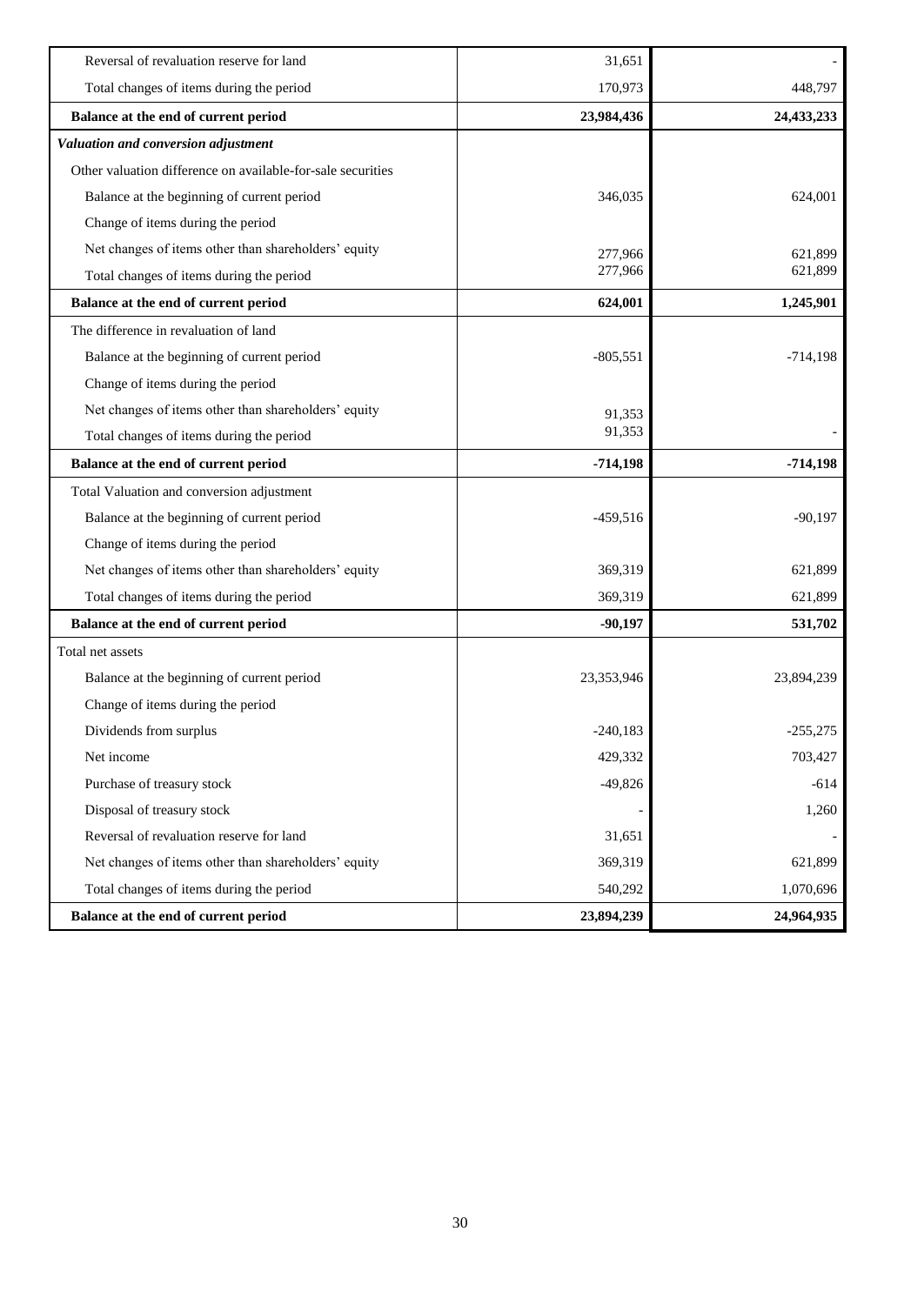| Balance at the end of current period                        | 23,894,239 | 24,964,935 |
|-------------------------------------------------------------|------------|------------|
| Total changes of items during the period                    | 540,292    | 1,070,696  |
| Net changes of items other than shareholders' equity        | 369,319    | 621,899    |
| Reversal of revaluation reserve for land                    | 31,651     |            |
| Disposal of treasury stock                                  |            | 1,260      |
| Purchase of treasury stock                                  | $-49,826$  | $-614$     |
| Net income                                                  | 429,332    | 703,427    |
| Dividends from surplus                                      | $-240,183$ | $-255,275$ |
| Change of items during the period                           |            |            |
| Balance at the beginning of current period                  | 23,353,946 | 23,894,239 |
| Total net assets                                            |            |            |
| Balance at the end of current period                        | $-90,197$  | 531,702    |
| Total changes of items during the period                    | 369,319    | 621,899    |
| Net changes of items other than shareholders' equity        | 369,319    | 621,899    |
| Change of items during the period                           |            |            |
| Balance at the beginning of current period                  | $-459,516$ | $-90,197$  |
| Total Valuation and conversion adjustment                   |            |            |
| Balance at the end of current period                        | $-714,198$ | $-714,198$ |
| Total changes of items during the period                    | 91,353     |            |
| Net changes of items other than shareholders' equity        | 91,353     |            |
| Change of items during the period                           |            |            |
| Balance at the beginning of current period                  | $-805,551$ | $-714,198$ |
| The difference in revaluation of land                       |            |            |
| Balance at the end of current period                        | 624,001    | 1,245,901  |
| Total changes of items during the period                    | 277,966    | 621,899    |
| Net changes of items other than shareholders' equity        | 277,966    | 621,899    |
| Change of items during the period                           |            |            |
| Balance at the beginning of current period                  | 346,035    | 624,001    |
| Other valuation difference on available-for-sale securities |            |            |
| Valuation and conversion adjustment                         |            |            |
| Balance at the end of current period                        | 23,984,436 | 24,433,233 |
| Total changes of items during the period                    | 170,973    | 448,797    |
| Reversal of revaluation reserve for land                    | 31,651     |            |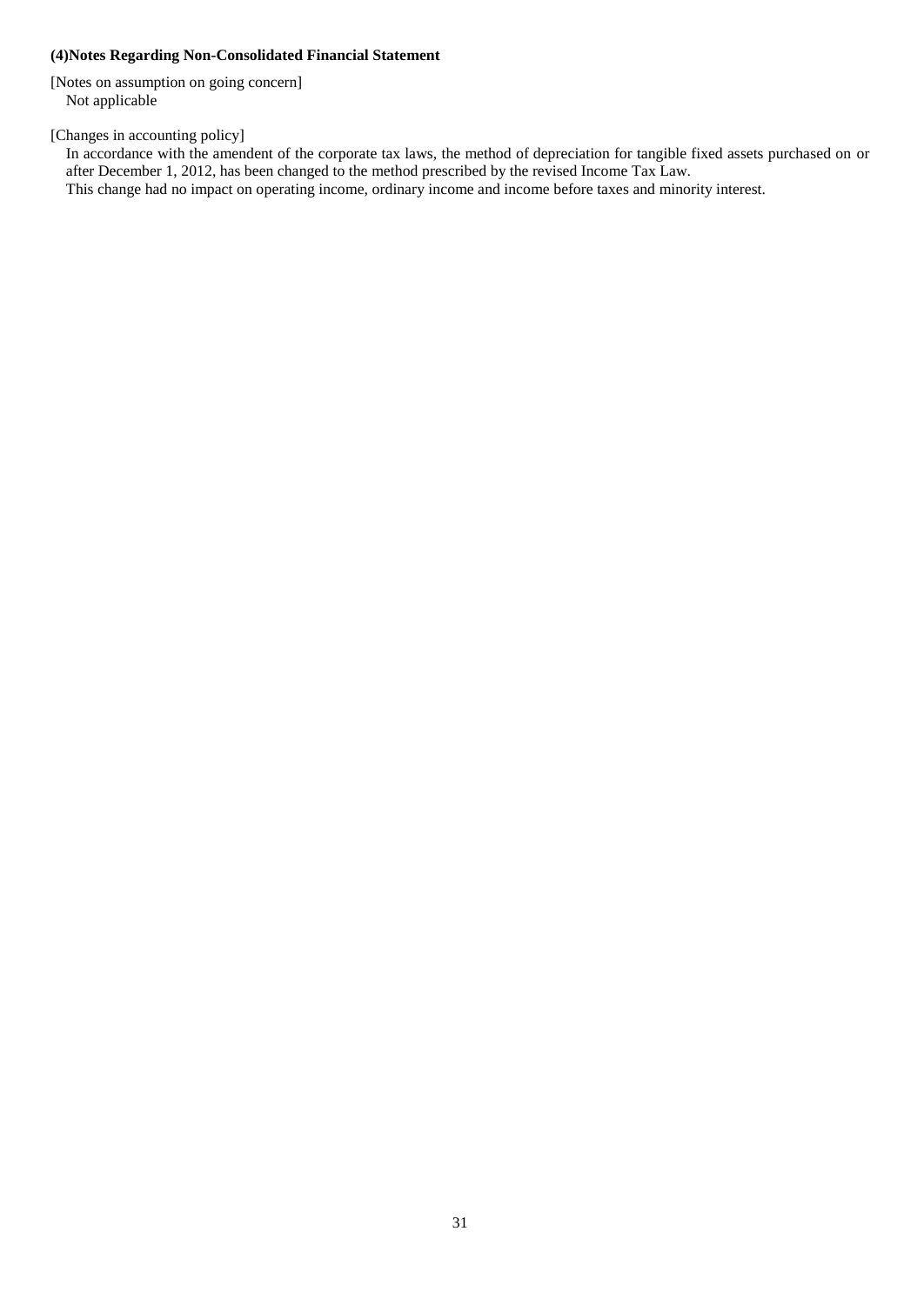### <span id="page-32-0"></span>**(4)Notes Regarding Non-Consolidated Financial Statement**

[Notes on assumption on going concern] Not applicable

[Changes in accounting policy]

In accordance with the amendent of the corporate tax laws, the method of depreciation for tangible fixed assets purchased on or after December 1, 2012, has been changed to the method prescribed by the revised Income Tax Law. This change had no impact on operating income, ordinary income and income before taxes and minority interest.